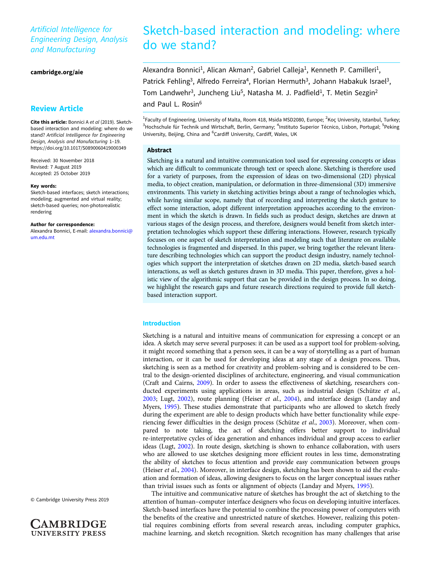# Artificial Intelligence for Engineering Design, Analysis and Manufacturing

[cambridge.org/aie](https://www.cambridge.org/aie)

## Review Article

Cite this article: Bonnici A et al (2019). Sketchbased interaction and modeling: where do we stand? Artificial Intelligence for Engineering Design, Analysis and Manufacturing 1–19. <https://doi.org/10.1017/S0890060419000349>

Received: 30 November 2018 Revised: 7 August 2019 Accepted: 25 October 2019

#### Key words:

Sketch-based interfaces; sketch interactions; modeling; augmented and virtual reality; sketch-based queries; non-photorealistic rendering

Author for correspondence: Alexandra Bonnici, E-mail: [alexandra.bonnici@](mailto:alexandra.bonnici@um.edu.mt) [um.edu.mt](mailto:alexandra.bonnici@um.edu.mt)

© Cambridge University Press 2019

**AMBRIDGE UNIVERSITY PRESS** 

# Sketch-based interaction and modeling: where do we stand?

Alexandra Bonnici<sup>1</sup>, Alican Akman<sup>2</sup>, Gabriel Calleja<sup>1</sup>, Kenneth P. Camilleri<sup>1</sup>, Patrick Fehling<sup>3</sup>, Alfredo Ferreira<sup>4</sup>, Florian Hermuth<sup>3</sup>, Johann Habakuk Israel<sup>3</sup>, Tom Landwehr<sup>3</sup>, Juncheng Liu<sup>5</sup>, Natasha M. J. Padfield<sup>1</sup>, T. Metin Sezgin<sup>2</sup> and Paul L. Rosin<sup>6</sup>

<sup>1</sup>Faculty of Engineering, University of Malta, Room 418, Msida MSD2080, Europe; <sup>2</sup>Koç University, Istanbul, Turkey; <sup>3</sup>Hochschule für Technik und Wirtschaft, Berlin, Germany; <sup>4</sup>Instituto Superior Técnico, Lisbon, Portugal; <sup>5</sup>Peking University, Beijing, China and <sup>6</sup>Cardiff University, Cardiff, Wales, UK

#### Abstract

Sketching is a natural and intuitive communication tool used for expressing concepts or ideas which are difficult to communicate through text or speech alone. Sketching is therefore used for a variety of purposes, from the expression of ideas on two-dimensional (2D) physical media, to object creation, manipulation, or deformation in three-dimensional (3D) immersive environments. This variety in sketching activities brings about a range of technologies which, while having similar scope, namely that of recording and interpreting the sketch gesture to effect some interaction, adopt different interpretation approaches according to the environment in which the sketch is drawn. In fields such as product design, sketches are drawn at various stages of the design process, and therefore, designers would benefit from sketch interpretation technologies which support these differing interactions. However, research typically focuses on one aspect of sketch interpretation and modeling such that literature on available technologies is fragmented and dispersed. In this paper, we bring together the relevant literature describing technologies which can support the product design industry, namely technologies which support the interpretation of sketches drawn on 2D media, sketch-based search interactions, as well as sketch gestures drawn in 3D media. This paper, therefore, gives a holistic view of the algorithmic support that can be provided in the design process. In so doing, we highlight the research gaps and future research directions required to provide full sketchbased interaction support.

#### Introduction

Sketching is a natural and intuitive means of communication for expressing a concept or an idea. A sketch may serve several purposes: it can be used as a support tool for problem-solving, it might record something that a person sees, it can be a way of storytelling as a part of human interaction, or it can be used for developing ideas at any stage of a design process. Thus, sketching is seen as a method for creativity and problem-solving and is considered to be central to the design-oriented disciplines of architecture, engineering, and visual communication (Craft and Cairns, [2009](#page-14-0)). In order to assess the effectiveness of sketching, researchers conducted experiments using applications in areas, such as industrial design (Schütze et al., [2003;](#page-16-0) Lugt, [2002\)](#page-15-0), route planning (Heiser et al., [2004\)](#page-15-0), and interface design (Landay and Myers, [1995\)](#page-15-0). These studies demonstrate that participants who are allowed to sketch freely during the experiment are able to design products which have better functionality while expe-riencing fewer difficulties in the design process (Schütze et al., [2003\)](#page-16-0). Moreover, when compared to note taking, the act of sketching offers better support to individual re-interpretative cycles of idea generation and enhances individual and group access to earlier ideas (Lugt, [2002](#page-15-0)). In route design, sketching is shown to enhance collaboration, with users who are allowed to use sketches designing more efficient routes in less time, demonstrating the ability of sketches to focus attention and provide easy communication between groups (Heiser et al., [2004\)](#page-15-0). Moreover, in interface design, sketching has been shown to aid the evaluation and formation of ideas, allowing designers to focus on the larger conceptual issues rather than trivial issues such as fonts or alignment of objects (Landay and Myers, [1995\)](#page-15-0).

The intuitive and communicative nature of sketches has brought the act of sketching to the attention of human–computer interface designers who focus on developing intuitive interfaces. Sketch-based interfaces have the potential to combine the processing power of computers with the benefits of the creative and unrestricted nature of sketches. However, realizing this potential requires combining efforts from several research areas, including computer graphics, machine learning, and sketch recognition. Sketch recognition has many challenges that arise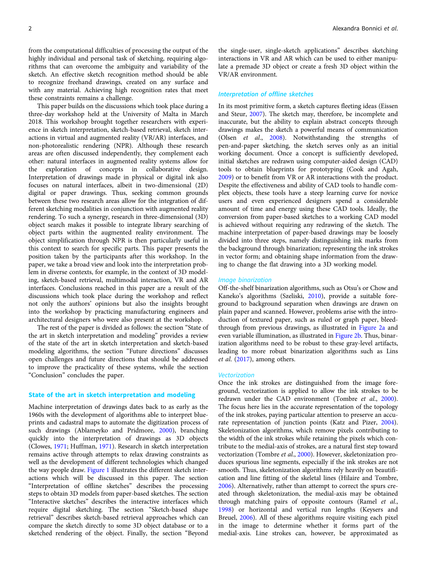from the computational difficulties of processing the output of the highly individual and personal task of sketching, requiring algorithms that can overcome the ambiguity and variability of the sketch. An effective sketch recognition method should be able to recognize freehand drawings, created on any surface and with any material. Achieving high recognition rates that meet these constraints remains a challenge.

This paper builds on the discussions which took place during a three-day workshop held at the University of Malta in March 2018. This workshop brought together researchers with experience in sketch interpretation, sketch-based retrieval, sketch interactions in virtual and augmented reality (VR/AR) interfaces, and non-photorealistic rendering (NPR). Although these research areas are often discussed independently, they complement each other: natural interfaces in augmented reality systems allow for the exploration of concepts in collaborative design. Interpretation of drawings made in physical or digital ink also focuses on natural interfaces, albeit in two-dimensional (2D) digital or paper drawings. Thus, seeking common grounds between these two research areas allow for the integration of different sketching modalities in conjunction with augmented reality rendering. To such a synergy, research in three-dimensional (3D) object search makes it possible to integrate library searching of object parts within the augmented reality environment. The object simplification through NPR is then particularly useful in this context to search for specific parts. This paper presents the position taken by the participants after this workshop. In the paper, we take a broad view and look into the interpretation problem in diverse contexts, for example, in the context of 3D modeling, sketch-based retrieval, multimodal interaction, VR and AR interfaces. Conclusions reached in this paper are a result of the discussions which took place during the workshop and reflect not only the authors' opinions but also the insights brought into the workshop by practicing manufacturing engineers and architectural designers who were also present at the workshop.

The rest of the paper is divided as follows: the section "State of the art in sketch interpretation and modeling" provides a review of the state of the art in sketch interpretation and sketch-based modeling algorithms, the section "Future directions" discusses open challenges and future directions that should be addressed to improve the practicality of these systems, while the section "Conclusion" concludes the paper.

#### State of the art in sketch interpretation and modeling

Machine interpretation of drawings dates back to as early as the 1960s with the development of algorithms able to interpret blueprints and cadastral maps to automate the digitization process of such drawings (Ablameyko and Pridmore, [2000](#page-14-0)), branching quickly into the interpretation of drawings as 3D objects (Clowes, [1971;](#page-14-0) Huffman, [1971\)](#page-15-0). Research in sketch interpretation remains active through attempts to relax drawing constraints as well as the development of different technologies which changed the way people draw. [Figure 1](#page-2-0) illustrates the different sketch interactions which will be discussed in this paper. The section "Interpretation of offline sketches" describes the processing steps to obtain 3D models from paper-based sketches. The section "Interactive sketches" describes the interactive interfaces which require digital sketching. The section "Sketch-based shape retrieval" describes sketch-based retrieval approaches which can compare the sketch directly to some 3D object database or to a sketched rendering of the object. Finally, the section "Beyond

the single-user, single-sketch applications" describes sketching interactions in VR and AR which can be used to either manipulate a premade 3D object or create a fresh 3D object within the VR/AR environment.

#### Interpretation of offline sketches

In its most primitive form, a sketch captures fleeting ideas (Eissen and Steur, [2007\)](#page-15-0). The sketch may, therefore, be incomplete and inaccurate, but the ability to explain abstract concepts through drawings makes the sketch a powerful means of communication (Olsen et al., [2008](#page-16-0)). Notwithstanding the strengths of pen-and-paper sketching, the sketch serves only as an initial working document. Once a concept is sufficiently developed, initial sketches are redrawn using computer-aided design (CAD) tools to obtain blueprints for prototyping (Cook and Agah, [2009\)](#page-14-0) or to benefit from VR or AR interactions with the product. Despite the effectiveness and ability of CAD tools to handle complex objects, these tools have a steep learning curve for novice users and even experienced designers spend a considerable amount of time and energy using these CAD tools. Ideally, the conversion from paper-based sketches to a working CAD model is achieved without requiring any redrawing of the sketch. The machine interpretation of paper-based drawings may be loosely divided into three steps, namely distinguishing ink marks from the background through binarization; representing the ink strokes in vector form; and obtaining shape information from the drawing to change the flat drawing into a 3D working model.

#### Image binarization

Off-the-shelf binarization algorithms, such as Otsu's or Chow and Kaneko's algorithms (Szeliski, [2010\)](#page-16-0), provide a suitable foreground to background separation when drawings are drawn on plain paper and scanned. However, problems arise with the introduction of textured paper, such as ruled or graph paper, bleedthrough from previous drawings, as illustrated in [Figure 2a](#page-2-0) and even variable illumination, as illustrated in [Figure 2b](#page-2-0). Thus, binarization algorithms need to be robust to these gray-level artifacts, leading to more robust binarization algorithms such as Lins et al. ([2017\)](#page-15-0), among others.

#### **Vectorization**

Once the ink strokes are distinguished from the image foreground, vectorization is applied to allow the ink strokes to be redrawn under the CAD environment (Tombre et al., [2000](#page-16-0)). The focus here lies in the accurate representation of the topology of the ink strokes, paying particular attention to preserve an accurate representation of junction points (Katz and Pizer, [2004](#page-15-0)). Skeletonization algorithms, which remove pixels contributing to the width of the ink strokes while retaining the pixels which contribute to the medial-axis of strokes, are a natural first step toward vectorization (Tombre et al., [2000](#page-16-0)). However, skeletonization produces spurious line segments, especially if the ink strokes are not smooth. Thus, skeletonization algorithms rely heavily on beautification and line fitting of the skeletal lines (Hilaire and Tombre, [2006\)](#page-15-0). Alternatively, rather than attempt to correct the spurs created through skeletonization, the medial-axis may be obtained through matching pairs of opposite contours (Ramel et al., [1998\)](#page-16-0) or horizontal and vertical run lengths (Keysers and Breuel, [2006](#page-15-0)). All of these algorithms require visiting each pixel in the image to determine whether it forms part of the medial-axis. Line strokes can, however, be approximated as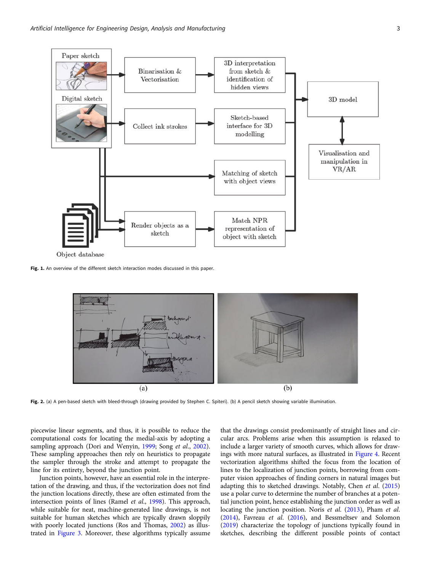<span id="page-2-0"></span>

Object database

Fig. 1. An overview of the different sketch interaction modes discussed in this paper.



Fig. 2. (a) A pen-based sketch with bleed-through (drawing provided by Stephen C. Spiteri). (b) A pencil sketch showing variable illumination.

piecewise linear segments, and thus, it is possible to reduce the computational costs for locating the medial-axis by adopting a sampling approach (Dori and Wenyin, [1999;](#page-15-0) Song et al., [2002\)](#page-16-0). These sampling approaches then rely on heuristics to propagate the sampler through the stroke and attempt to propagate the line for its entirety, beyond the junction point.

Junction points, however, have an essential role in the interpretation of the drawing, and thus, if the vectorization does not find the junction locations directly, these are often estimated from the intersection points of lines (Ramel et al., [1998](#page-16-0)). This approach, while suitable for neat, machine-generated line drawings, is not suitable for human sketches which are typically drawn sloppily with poorly located junctions (Ros and Thomas, [2002\)](#page-16-0) as illustrated in [Figure 3](#page-3-0). Moreover, these algorithms typically assume

that the drawings consist predominantly of straight lines and circular arcs. Problems arise when this assumption is relaxed to include a larger variety of smooth curves, which allows for drawings with more natural surfaces, as illustrated in [Figure 4.](#page-3-0) Recent vectorization algorithms shifted the focus from the location of lines to the localization of junction points, borrowing from computer vision approaches of finding corners in natural images but adapting this to sketched drawings. Notably, Chen et al. [\(2015](#page-14-0)) use a polar curve to determine the number of branches at a potential junction point, hence establishing the junction order as well as locating the junction position. Noris et al. ([2013\)](#page-16-0), Pham et al. [\(2014\)](#page-16-0), Favreau et al. ([2016](#page-15-0)), and Bessmeltsev and Solomon [\(2019\)](#page-14-0) characterize the topology of junctions typically found in sketches, describing the different possible points of contact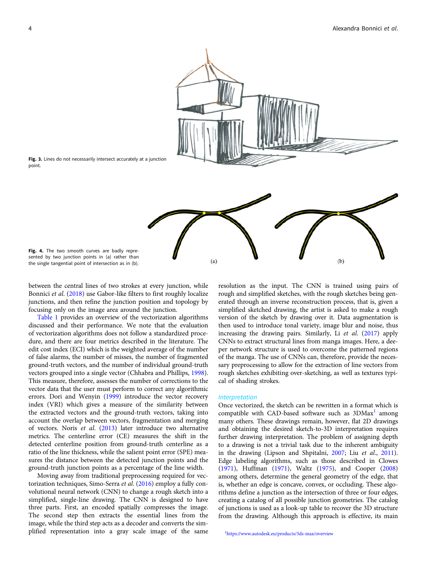<span id="page-3-0"></span>

Fig. 3. Lines do not necessarily intersect accurately at a junction point.

Fig. 4. The two smooth curves are badly represented by two junction points in (a) rather than the single tangential point of intersection as in (b).

between the central lines of two strokes at every junction, while Bonnici et al. ([2018](#page-14-0)) use Gabor-like filters to first roughly localize junctions, and then refine the junction position and topology by focusing only on the image area around the junction.

[Table 1](#page-4-0) provides an overview of the vectorization algorithms discussed and their performance. We note that the evaluation of vectorization algorithms does not follow a standardized procedure, and there are four metrics described in the literature. The edit cost index (ECI) which is the weighted average of the number of false alarms, the number of misses, the number of fragmented ground-truth vectors, and the number of individual ground-truth vectors grouped into a single vector (Chhabra and Phillips, [1998\)](#page-14-0). This measure, therefore, assesses the number of corrections to the vector data that the user must perform to correct any algorithmic errors. Dori and Wenyin ([1999](#page-15-0)) introduce the vector recovery index (VRI) which gives a measure of the similarity between the extracted vectors and the ground-truth vectors, taking into account the overlap between vectors, fragmentation and merging of vectors. Noris et al. [\(2013](#page-16-0)) later introduce two alternative metrics. The centerline error (CE) measures the shift in the detected centerline position from ground-truth centerline as a ratio of the line thickness, while the salient point error (SPE) measures the distance between the detected junction points and the ground-truth junction points as a percentage of the line width.

Moving away from traditional preprocessing required for vectorization techniques, Simo-Serra et al. [\(2016](#page-16-0)) employ a fully convolutional neural network (CNN) to change a rough sketch into a simplified, single-line drawing. The CNN is designed to have three parts. First, an encoded spatially compresses the image. The second step then extracts the essential lines from the image, while the third step acts as a decoder and converts the simplified representation into a gray scale image of the same

resolution as the input. The CNN is trained using pairs of rough and simplified sketches, with the rough sketches being generated through an inverse reconstruction process, that is, given a simplified sketched drawing, the artist is asked to make a rough version of the sketch by drawing over it. Data augmentation is then used to introduce tonal variety, image blur and noise, thus increasing the drawing pairs. Similarly, Li et al. ([2017\)](#page-15-0) apply CNNs to extract structural lines from manga images. Here, a deeper network structure is used to overcome the patterned regions of the manga. The use of CNNs can, therefore, provide the necessary preprocessing to allow for the extraction of line vectors from rough sketches exhibiting over-sketching, as well as textures typical of shading strokes.

#### Interpretation

Once vectorized, the sketch can be rewritten in a format which is compatible with CAD-based software such as  $3DMax<sup>1</sup>$  among many others. These drawings remain, however, flat 2D drawings and obtaining the desired sketch-to-3D interpretation requires further drawing interpretation. The problem of assigning depth to a drawing is not a trivial task due to the inherent ambiguity in the drawing (Lipson and Shpitalni, [2007;](#page-15-0) Liu et al., [2011](#page-15-0)). Edge labeling algorithms, such as those described in Clowes ([1971\)](#page-14-0), Huffman [\(1971](#page-15-0)), Waltz ([1975](#page-16-0)), and Cooper [\(2008](#page-14-0)) among others, determine the general geometry of the edge, that is, whether an edge is concave, convex, or occluding. These algorithms define a junction as the intersection of three or four edges, creating a catalog of all possible junction geometries. The catalog of junctions is used as a look-up table to recover the 3D structure from the drawing. Although this approach is effective, its main

1 <https://www.autodesk.eu/products/3ds-max/overview>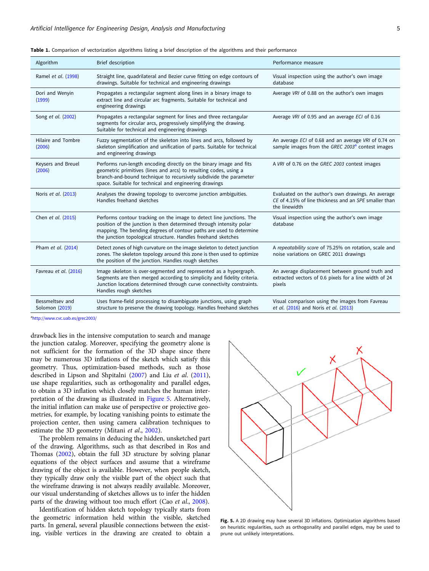| Algorithm                         | Brief description                                                                                                                                                                                                                                                                   | Performance measure                                                                                                          |  |
|-----------------------------------|-------------------------------------------------------------------------------------------------------------------------------------------------------------------------------------------------------------------------------------------------------------------------------------|------------------------------------------------------------------------------------------------------------------------------|--|
| Ramel et al. (1998)               | Straight line, quadrilateral and Bezier curve fitting on edge contours of<br>drawings. Suitable for technical and engineering drawings                                                                                                                                              | Visual inspection using the author's own image<br>database                                                                   |  |
| Dori and Wenyin<br>(1999)         | Propagates a rectangular segment along lines in a binary image to<br>extract line and circular arc fragments. Suitable for technical and<br>engineering drawings                                                                                                                    | Average VRI of 0.88 on the author's own images                                                                               |  |
| Song et al. (2002)                | Propagates a rectangular segment for lines and three rectangular<br>segments for circular arcs, progressively simplifying the drawing.<br>Suitable for technical and engineering drawings                                                                                           | Average VRI of 0.95 and an average ECI of 0.16                                                                               |  |
| Hilaire and Tombre<br>(2006)      | Fuzzy segmentation of the skeleton into lines and arcs, followed by<br>skeleton simplification and unification of parts. Suitable for technical<br>and engineering drawings                                                                                                         | An average ECI of 0.68 and an average VRI of 0.74 on<br>sample images from the GREC 2003 <sup>a</sup> contest images         |  |
| Keysers and Breuel<br>(2006)      | Performs run-length encoding directly on the binary image and fits<br>geometric primitives (lines and arcs) to resulting codes, using a<br>branch-and-bound technique to recursively subdivide the parameter<br>space. Suitable for technical and engineering drawings              | A VRI of 0.76 on the GREC 2003 contest images                                                                                |  |
| Noris et al. (2013)               | Analyses the drawing topology to overcome junction ambiguities.<br>Handles freehand sketches                                                                                                                                                                                        | Evaluated on the author's own drawings. An average<br>CE of 4.15% of line thickness and an SPE smaller than<br>the linewidth |  |
| Chen et al. (2015)                | Performs contour tracking on the image to detect line junctions. The<br>position of the junction is then determined through intensity polar<br>mapping. The bending degrees of contour paths are used to determine<br>the junction topological structure. Handles freehand sketches | Visual inspection using the author's own image<br>database                                                                   |  |
| Pham et al. (2014)                | Detect zones of high curvature on the image skeleton to detect junction<br>zones. The skeleton topology around this zone is then used to optimize<br>the position of the junction. Handles rough sketches                                                                           | A repeatability score of 75.25% on rotation, scale and<br>noise variations on GREC 2011 drawings                             |  |
| Favreau et al. (2016)             | Image skeleton is over-segmented and represented as a hypergraph.<br>Segments are then merged according to simplicity and fidelity criteria.<br>Junction locations determined through curve connectivity constraints.<br>Handles rough sketches                                     | An average displacement between ground truth and<br>extracted vectors of 0.6 pixels for a line width of 24<br>pixels         |  |
| Bessmeltsev and<br>Solomon (2019) | Uses frame-field processing to disambiguate junctions, using graph<br>structure to preserve the drawing topology. Handles freehand sketches                                                                                                                                         | Visual comparison using the images from Favreau<br>et al. (2016) and Noris et al. (2013)                                     |  |

<span id="page-4-0"></span>Table 1. Comparison of vectorization algorithms listing a brief description of the algorithms and their performance

a <http://www.cvc.uab.es/grec2003/>

drawback lies in the intensive computation to search and manage the junction catalog. Moreover, specifying the geometry alone is not sufficient for the formation of the 3D shape since there may be numerous 3D inflations of the sketch which satisfy this geometry. Thus, optimization-based methods, such as those described in Lipson and Shpitalni ([2007\)](#page-15-0) and Liu et al. [\(2011\)](#page-15-0), use shape regularities, such as orthogonality and parallel edges, to obtain a 3D inflation which closely matches the human interpretation of the drawing as illustrated in Figure 5. Alternatively, the initial inflation can make use of perspective or projective geometries, for example, by locating vanishing points to estimate the projection center, then using camera calibration techniques to estimate the 3D geometry (Mitani et al., [2002\)](#page-15-0).

The problem remains in deducing the hidden, unsketched part of the drawing. Algorithms, such as that described in Ros and Thomas ([2002](#page-16-0)), obtain the full 3D structure by solving planar equations of the object surfaces and assume that a wireframe drawing of the object is available. However, when people sketch, they typically draw only the visible part of the object such that the wireframe drawing is not always readily available. Moreover, our visual understanding of sketches allows us to infer the hidden parts of the drawing without too much effort (Cao et al., [2008](#page-14-0)).

Identification of hidden sketch topology typically starts from the geometric information held within the visible, sketched parts. In general, several plausible connections between the existing, visible vertices in the drawing are created to obtain a



Fig. 5. A 2D drawing may have several 3D inflations. Optimization algorithms based on heuristic regularities, such as orthogonality and parallel edges, may be used to prune out unlikely interpretations.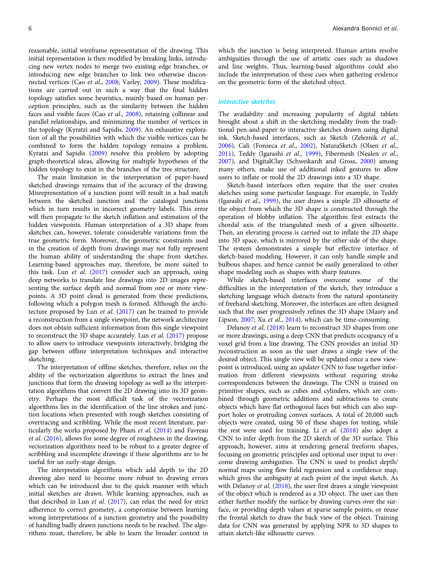reasonable, initial wireframe representation of the drawing. This initial representation is then modified by breaking links, introducing new vertex nodes to merge two existing edge branches, or introducing new edge branches to link two otherwise disconnected vertices (Cao et al., [2008](#page-14-0); Varley, [2009\)](#page-16-0). These modifications are carried out in such a way that the final hidden topology satisfies some heuristics, mainly based on human perception principles, such as the similarity between the hidden faces and visible faces (Cao et al., [2008\)](#page-14-0), retaining collinear and parallel relationships, and minimizing the number of vertices in the topology (Kyratzi and Sapidis, [2009](#page-15-0)). An exhaustive exploration of all the possibilities with which the visible vertices can be combined to form the hidden topology remains a problem. Kyratzi and Sapidis [\(2009](#page-15-0)) resolve this problem by adopting graph-theoretical ideas, allowing for multiple hypotheses of the hidden topology to exist in the branches of the tree structure.

The main limitation in the interpretation of paper-based sketched drawings remains that of the accuracy of the drawing. Misrepresentation of a junction point will result in a bad match between the sketched junction and the cataloged junctions which in turn results in incorrect geometry labels. This error will then propagate to the sketch inflation and estimation of the hidden viewpoints. Human interpretation of a 3D shape from sketches can, however, tolerate considerable variations from the true geometric form. Moreover, the geometric constraints used in the creation of depth from drawings may not fully represent the human ability of understanding the shape from sketches. Learning-based approaches may, therefore, be more suited to this task. Lun et al.  $(2017)$  $(2017)$  $(2017)$  consider such an approach, using deep networks to translate line drawings into 2D images representing the surface depth and normal from one or more viewpoints. A 3D point cloud is generated from these predictions, following which a polygon mesh is formed. Although the architecture proposed by Lun et al. ([2017](#page-15-0)) can be trained to provide a reconstruction from a single viewpoint, the network architecture does not obtain sufficient information from this single viewpoint to reconstruct the 3D shape accurately. Lun et al. ([2017\)](#page-15-0) propose to allow users to introduce viewpoints interactively, bridging the gap between offline interpretation techniques and interactive sketching.

The interpretation of offline sketches, therefore, relies on the ability of the vectorization algorithms to extract the lines and junctions that form the drawing topology as well as the interpretation algorithms that convert the 2D drawing into its 3D geometry. Perhaps the most difficult task of the vectorization algorithms lies in the identification of the line strokes and junction locations when presented with rough sketches consisting of overtracing and scribbling. While the most recent literature, par-ticularly the works proposed by Pham et al. [\(2014\)](#page-16-0) and Favreau et al. [\(2016](#page-15-0)), allows for some degree of roughness in the drawing, vectorization algorithms need to be robust to a greater degree of scribbling and incomplete drawings if these algorithms are to be useful for an early-stage design.

The interpretation algorithms which add depth to the 2D drawing also need to become more robust to drawing errors which can be introduced due to the quick manner with which initial sketches are drawn. While learning approaches, such as that described in Lun et al. [\(2017](#page-15-0)), can relax the need for strict adherence to correct geometry, a compromise between learning wrong interpretations of a junction geometry and the possibility of handling badly drawn junctions needs to be reached. The algorithms must, therefore, be able to learn the broader context in which the junction is being interpreted. Human artists resolve ambiguities through the use of artistic cues such as shadows and line weights. Thus, learning-based algorithms could also include the interpretation of these cues when gathering evidence on the geometric form of the sketched object.

#### Interactive sketches

The availability and increasing popularity of digital tablets brought about a shift in the sketching modality from the traditional pen-and-paper to interactive sketches drawn using digital ink. Sketch-based interfaces, such as Sketch (Zeleznik et al., [2006\)](#page-17-0), Cali (Fonseca et al., [2002](#page-15-0)), NaturaSketch (Olsen et al., [2011\)](#page-16-0), Teddy (Igarashi et al., [1999](#page-15-0)), Fibermesh (Nealen et al., [2007\)](#page-16-0), and DigitalClay (Schweikardt and Gross, [2000\)](#page-16-0) among many others, make use of additional inked gestures to allow users to inflate or mold the 2D drawings into a 3D shape.

Sketch-based interfaces often require that the user creates sketches using some particular language. For example, in Teddy (Igarashi et al., [1999\)](#page-15-0), the user draws a simple 2D silhouette of the object from which the 3D shape is constructed through the operation of blobby inflation. The algorithm first extracts the chordal axis of the triangulated mesh of a given silhouette. Then, an elevating process is carried out to inflate the 2D shape into 3D space, which is mirrored by the other side of the shape. The system demonstrates a simple but effective interface of sketch-based modeling. However, it can only handle simple and bulbous shapes, and hence cannot be easily generalized to other shape modeling such as shapes with sharp features.

While sketch-based interfaces overcome some of the difficulties in the interpretation of the sketch, they introduce a sketching language which distracts from the natural spontaneity of freehand sketching. Moreover, the interfaces are often designed such that the user progressively refines the 3D shape (Masry and Lipson, [2007;](#page-15-0) Xu et al., [2014](#page-16-0)), which can be time-consuming.

Delanoy et al. ([2018](#page-15-0)) learn to reconstruct 3D shapes from one or more drawings, using a deep CNN that predicts occupancy of a voxel grid from a line drawing. The CNN provides an initial 3D reconstruction as soon as the user draws a single view of the desired object. This single view will be updated once a new viewpoint is introduced, using an *updater* CNN to fuse together information from different viewpoints without requiring stroke correspondences between the drawings. The CNN is trained on primitive shapes, such as cubes and cylinders, which are combined through geometric additions and subtractions to create objects which have flat orthogonal faces but which can also support holes or protruding convex surfaces. A total of 20,000 such objects were created, using 50 of these shapes for testing, while the rest were used for training. Li et al. [\(2018](#page-15-0)) also adopt a CNN to infer depth from the 2D sketch of the 3D surface. This approach, however, aims at rendering general freeform shapes, focusing on geometric principles and optional user input to overcome drawing ambiguities. The CNN is used to predict depth/ normal maps using flow field regression and a confidence map, which gives the ambiguity at each point of the input sketch. As with Delanoy et al. ([2018\)](#page-15-0), the user first draws a single viewpoint of the object which is rendered as a 3D object. The user can then either further modify the surface by drawing curves over the surface, or providing depth values at sparse sample points, or reuse the frontal sketch to draw the back view of the object. Training data for CNN was generated by applying NPR to 3D shapes to attain sketch-like silhouette curves.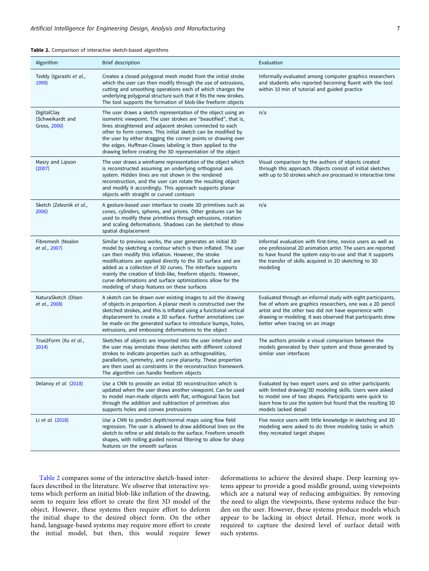| Algorithm                                       | Brief description                                                                                                                                                                                                                                                                                                                                                                                                                                                                               | Evaluation                                                                                                                                                                                                                                                                            |  |  |  |  |
|-------------------------------------------------|-------------------------------------------------------------------------------------------------------------------------------------------------------------------------------------------------------------------------------------------------------------------------------------------------------------------------------------------------------------------------------------------------------------------------------------------------------------------------------------------------|---------------------------------------------------------------------------------------------------------------------------------------------------------------------------------------------------------------------------------------------------------------------------------------|--|--|--|--|
| Teddy (Igarashi et al.,<br>1999)                | Creates a closed polygonal mesh model from the initial stroke<br>which the user can then modify through the use of extrusions,<br>cutting and smoothing operations each of which changes the<br>underlying polygonal structure such that it fits the new strokes.<br>The tool supports the formation of blob-like freeform objects                                                                                                                                                              | Informally evaluated among computer graphics researchers<br>and students who reported becoming fluent with the tool<br>within 10 min of tutorial and guided practice                                                                                                                  |  |  |  |  |
| DigitalClay<br>(Schweikardt and<br>Gross, 2000) | The user draws a sketch representation of the object using an<br>isometric viewpoint. The user strokes are "beautified", that is,<br>lines straightened and adjacent strokes connected to each<br>other to form corners. This initial sketch can be modified by<br>the user by either dragging the corner points or drawing over<br>the edges. Huffman-Clowes labeling is then applied to the<br>drawing before creating the 3D representation of the object                                    | n/a                                                                                                                                                                                                                                                                                   |  |  |  |  |
| Masry and Lipson<br>(2007)                      | The user draws a wireframe representation of the object which<br>is reconstructed assuming an underlying orthogonal axis<br>system. Hidden lines are not shown in the rendered<br>reconstruction, and the user can rotate the resulting object<br>and modify it accordingly. This approach supports planar<br>objects with straight or curved contours                                                                                                                                          | Visual comparison by the authors of objects created<br>through this approach. Objects consist of initial sketches<br>with up to 50 strokes which are processed in interactive time                                                                                                    |  |  |  |  |
| Sketch (Zeleznik et al.,<br>2006)               | A gesture-based user interface to create 3D primitives such as<br>cones, cylinders, spheres, and prisms. Other gestures can be<br>used to modify these primitives through extrusions, rotation<br>and scaling deformations. Shadows can be sketched to show<br>spatial displacement                                                                                                                                                                                                             | n/a                                                                                                                                                                                                                                                                                   |  |  |  |  |
| Fibremesh (Nealen<br>et al., 2007)              | Similar to previous works, the user generates an initial 3D<br>model by sketching a contour which is then inflated. The user<br>can then modify this inflation. However, the stroke<br>modifications are applied directly to the 3D surface and are<br>added as a collection of 3D curves. The interface supports<br>mainly the creation of blob-like, freeform objects. However,<br>curve deformations and surface optimizations allow for the<br>modeling of sharp features on these surfaces | Informal evaluation with first-time, novice users as well as<br>one professional 2D animation artist. The users are reported<br>to have found the system easy-to-use and that it supports<br>the transfer of skills acquired in 2D sketching to 3D<br>modeling                        |  |  |  |  |
| NaturaSketch (Olsen<br>et al., 2008)            | A sketch can be drawn over existing images to aid the drawing<br>of objects in proportion. A planar mesh is constructed over the<br>sketched strokes, and this is inflated using a functional vertical<br>displacement to create a 3D surface. Further annotations can<br>be made on the generated surface to introduce bumps, holes,<br>extrusions, and embossing deformations to the object                                                                                                   | Evaluated through an informal study with eight participants,<br>five of whom are graphics researchers, one was a 2D pencil<br>artist and the other two did not have experience with<br>drawing or modeling. It was observed that participants drew<br>better when tracing on an image |  |  |  |  |
| True2Form (Xu et al.,<br>2014)                  | Sketches of objects are imported into the user interface and<br>the user may annotate these sketches with different colored<br>strokes to indicate properties such as orthogonalities,<br>parallelism, symmetry, and curve planarity. These properties<br>are then used as constraints in the reconstruction framework.<br>The algorithm can handle freeform objects                                                                                                                            | The authors provide a visual comparison between the<br>models generated by their system and those generated by<br>similar user interfaces                                                                                                                                             |  |  |  |  |
| Delanoy et al. (2018)                           | Use a CNN to provide an initial 3D reconstruction which is<br>updated when the user draws another viewpoint. Can be used<br>to model man-made objects with flat, orthogonal faces but<br>through the addition and subtraction of primitives also<br>supports holes and convex protrusions                                                                                                                                                                                                       | Evaluated by two expert users and six other participants<br>with limited drawing/3D modeling skills. Users were asked<br>to model one of two shapes. Participants were quick to<br>learn how to use the system but found that the resulting 3D<br>models lacked detail                |  |  |  |  |
| Li et al. (2018)                                | Use a CNN to predict depth/normal maps using flow field<br>regression. The user is allowed to draw additional lines on the<br>sketch to refine or add details to the surface. Freeform smooth<br>shapes, with rolling guided normal filtering to allow for sharp<br>features on the smooth surfaces                                                                                                                                                                                             | Five novice users with little knowledge in sketching and 3D<br>modeling were asked to do three modeling tasks in which<br>they recreated target shapes                                                                                                                                |  |  |  |  |

#### Table 2. Comparison of interactive sketch-based algorithms

Table 2 compares some of the interactive sketch-based interfaces described in the literature. We observe that interactive systems which perform an initial blob-like inflation of the drawing, seem to require less effort to create the first 3D model of the object. However, these systems then require effort to deform the initial shape to the desired object form. On the other hand, language-based systems may require more effort to create the initial model, but then, this would require fewer deformations to achieve the desired shape. Deep learning systems appear to provide a good middle ground, using viewpoints which are a natural way of reducing ambiguities. By removing the need to align the viewpoints, these systems reduce the burden on the user. However, these systems produce models which appear to be lacking in object detail. Hence, more work is required to capture the desired level of surface detail with such systems.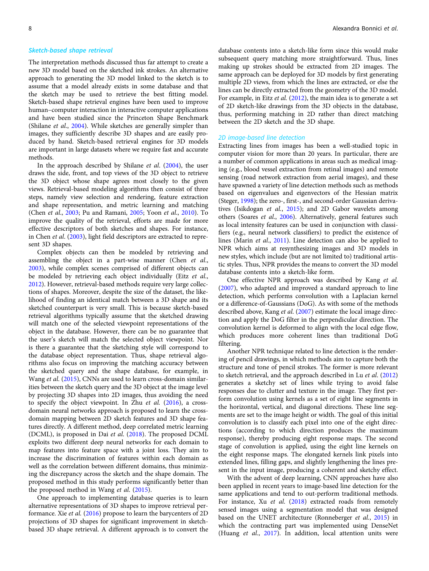#### Sketch-based shape retrieval

The interpretation methods discussed thus far attempt to create a new 3D model based on the sketched ink strokes. An alternative approach to generating the 3D model linked to the sketch is to assume that a model already exists in some database and that the sketch may be used to retrieve the best fitting model. Sketch-based shape retrieval engines have been used to improve human–computer interaction in interactive computer applications and have been studied since the Princeton Shape Benchmark (Shilane et al., [2004](#page-16-0)). While sketches are generally simpler than images, they sufficiently describe 3D shapes and are easily produced by hand. Sketch-based retrieval engines for 3D models are important in large datasets where we require fast and accurate methods.

In the approach described by Shilane *et al.*  $(2004)$  $(2004)$  $(2004)$ , the user draws the side, front, and top views of the 3D object to retrieve the 3D object whose shape agrees most closely to the given views. Retrieval-based modeling algorithms then consist of three steps, namely view selection and rendering, feature extraction and shape representation, and metric learning and matching (Chen et al., [2003](#page-14-0); Pu and Ramani, [2005;](#page-16-0) Yoon et al., [2010](#page-16-0)). To improve the quality of the retrieval, efforts are made for more effective descriptors of both sketches and shapes. For instance, in Chen et al. ([2003\)](#page-14-0), light field descriptors are extracted to represent 3D shapes.

Complex objects can then be modeled by retrieving and assembling the object in a part-wise manner (Chen et al., [2003\)](#page-14-0), while complex scenes comprised of different objects can be modeled by retrieving each object individually (Eitz et al., [2012\)](#page-15-0). However, retrieval-based methods require very large collections of shapes. Moreover, despite the size of the dataset, the likelihood of finding an identical match between a 3D shape and its sketched counterpart is very small. This is because sketch-based retrieval algorithms typically assume that the sketched drawing will match one of the selected viewpoint representations of the object in the database. However, there can be no guarantee that the user's sketch will match the selected object viewpoint. Nor is there a guarantee that the sketching style will correspond to the database object representation. Thus, shape retrieval algorithms also focus on improving the matching accuracy between the sketched query and the shape database, for example, in Wang et al. [\(2015\)](#page-16-0), CNNs are used to learn cross-domain similarities between the sketch query and the 3D object at the image level by projecting 3D shapes into 2D images, thus avoiding the need to specify the object viewpoint. In Zhu et al. [\(2016\)](#page-17-0), a crossdomain neural networks approach is proposed to learn the crossdomain mapping between 2D sketch features and 3D shape features directly. A different method, deep correlated metric learning (DCML), is proposed in Dai et al. [\(2018](#page-14-0)). The proposed DCML exploits two different deep neural networks for each domain to map features into feature space with a joint loss. They aim to increase the discrimination of features within each domain as well as the correlation between different domains, thus minimizing the discrepancy across the sketch and the shape domain. The proposed method in this study performs significantly better than the proposed method in Wang et al. [\(2015\)](#page-16-0).

One approach to implementing database queries is to learn alternative representations of 3D shapes to improve retrieval performance. Xie et al. [\(2016](#page-16-0)) propose to learn the barycenters of 2D projections of 3D shapes for significant improvement in sketchbased 3D shape retrieval. A different approach is to convert the

database contents into a sketch-like form since this would make subsequent query matching more straightforward. Thus, lines making up strokes should be extracted from 2D images. The same approach can be deployed for 3D models by first generating multiple 2D views, from which the lines are extracted, or else the lines can be directly extracted from the geometry of the 3D model. For example, in Eitz *et al.* ([2012\)](#page-15-0), the main idea is to generate a set of 2D sketch-like drawings from the 3D objects in the database, thus, performing matching in 2D rather than direct matching between the 2D sketch and the 3D shape.

#### 2D image-based line detection

Extracting lines from images has been a well-studied topic in computer vision for more than 20 years. In particular, there are a number of common applications in areas such as medical imaging (e.g., blood vessel extraction from retinal images) and remote sensing (road network extraction from aerial images), and these have spawned a variety of line detection methods such as methods based on eigenvalues and eigenvectors of the Hessian matrix (Steger, [1998](#page-16-0)); the zero-, first-, and second-order Gaussian derivatives (Isikdogan et al., [2015](#page-15-0)); and 2D Gabor wavelets among others (Soares et al., [2006\)](#page-16-0). Alternatively, general features such as local intensity features can be used in conjunction with classifiers (e.g., neural network classifiers) to predict the existence of lines (Marin et al., [2011](#page-15-0)). Line detection can also be applied to NPR which aims at resynthesizing images and 3D models in new styles, which include (but are not limited to) traditional artistic styles. Thus, NPR provides the means to convert the 3D model database contents into a sketch-like form.

One effective NPR approach was described by Kang et al. ([2007\)](#page-15-0), who adapted and improved a standard approach to line detection, which performs convolution with a Laplacian kernel or a difference-of-Gaussians (DoG). As with some of the methods described above, Kang et al. ([2007](#page-15-0)) estimate the local image direction and apply the DoG filter in the perpendicular direction. The convolution kernel is deformed to align with the local edge flow, which produces more coherent lines than traditional DoG filtering.

Another NPR technique related to line detection is the rendering of pencil drawings, in which methods aim to capture both the structure and tone of pencil strokes. The former is more relevant to sketch retrieval, and the approach described in Lu et al. [\(2012](#page-15-0)) generates a sketchy set of lines while trying to avoid false responses due to clutter and texture in the image. They first perform convolution using kernels as a set of eight line segments in the horizontal, vertical, and diagonal directions. These line segments are set to the image height or width. The goal of this initial convolution is to classify each pixel into one of the eight directions (according to which direction produces the maximum response), thereby producing eight response maps. The second stage of convolution is applied, using the eight line kernels on the eight response maps. The elongated kernels link pixels into extended lines, filling gaps, and slightly lengthening the lines present in the input image, producing a coherent and sketchy effect.

With the advent of deep learning, CNN approaches have also been applied in recent years to image-based line detection for the same applications and tend to out-perform traditional methods. For instance, Xu et al. ([2018\)](#page-16-0) extracted roads from remotely sensed images using a segmentation model that was designed based on the UNET architecture (Ronneberger et al., [2015\)](#page-16-0) in which the contracting part was implemented using DenseNet (Huang et al., [2017\)](#page-15-0). In addition, local attention units were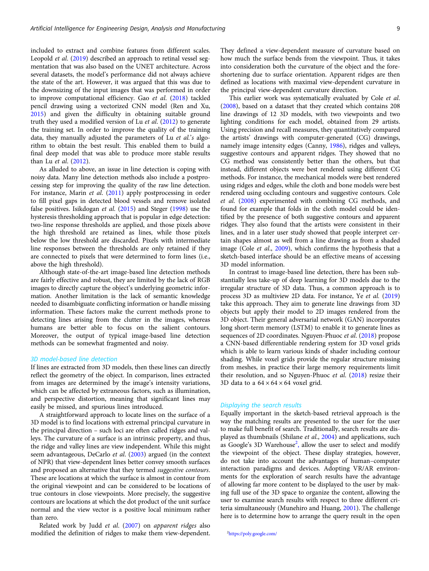included to extract and combine features from different scales. Leopold et al. [\(2019](#page-15-0)) described an approach to retinal vessel segmentation that was also based on the UNET architecture. Across several datasets, the model's performance did not always achieve the state of the art. However, it was argued that this was due to the downsizing of the input images that was performed in order to improve computational efficiency. Gao et al. [\(2018\)](#page-15-0) tackled pencil drawing using a vectorized CNN model (Ren and Xu, [2015\)](#page-16-0) and given the difficulty in obtaining suitable ground truth they used a modified version of Lu et al. ([2012\)](#page-15-0) to generate the training set. In order to improve the quality of the training data, they manually adjusted the parameters of Lu et al.'s algorithm to obtain the best result. This enabled them to build a final deep model that was able to produce more stable results than Lu et al. [\(2012\)](#page-15-0).

As alluded to above, an issue in line detection is coping with noisy data. Many line detection methods also include a postprocessing step for improving the quality of the raw line detection. For instance, Marin et al. [\(2011\)](#page-15-0) apply postprocessing in order to fill pixel gaps in detected blood vessels and remove isolated false positives. Isikdogan et al. [\(2015](#page-15-0)) and Steger [\(1998\)](#page-16-0) use the hysteresis thresholding approach that is popular in edge detection: two-line response thresholds are applied, and those pixels above the high threshold are retained as lines, while those pixels below the low threshold are discarded. Pixels with intermediate line responses between the thresholds are only retained if they are connected to pixels that were determined to form lines (i.e., above the high threshold).

Although state-of-the-art image-based line detection methods are fairly effective and robust, they are limited by the lack of RGB images to directly capture the object's underlying geometric information. Another limitation is the lack of semantic knowledge needed to disambiguate conflicting information or handle missing information. These factors make the current methods prone to detecting lines arising from the clutter in the images, whereas humans are better able to focus on the salient contours. Moreover, the output of typical image-based line detection methods can be somewhat fragmented and noisy.

#### 3D model-based line detection

If lines are extracted from 3D models, then these lines can directly reflect the geometry of the object. In comparison, lines extracted from images are determined by the image's intensity variations, which can be affected by extraneous factors, such as illumination, and perspective distortion, meaning that significant lines may easily be missed, and spurious lines introduced.

A straightforward approach to locate lines on the surface of a 3D model is to find locations with extremal principal curvature in the principal direction – such loci are often called ridges and valleys. The curvature of a surface is an intrinsic property, and thus, the ridge and valley lines are view independent. While this might seem advantageous, DeCarlo *et al.* [\(2003\)](#page-15-0) argued (in the context of NPR) that view-dependent lines better convey smooth surfaces and proposed an alternative that they termed suggestive contours. These are locations at which the surface is almost in contour from the original viewpoint and can be considered to be locations of true contours in close viewpoints. More precisely, the suggestive contours are locations at which the dot product of the unit surface normal and the view vector is a positive local minimum rather than zero.

Related work by Judd et al. [\(2007\)](#page-15-0) on apparent ridges also modified the definition of ridges to make them view-dependent. They defined a view-dependent measure of curvature based on how much the surface bends from the viewpoint. Thus, it takes into consideration both the curvature of the object and the foreshortening due to surface orientation. Apparent ridges are then defined as locations with maximal view-dependent curvature in the principal view-dependent curvature direction.

This earlier work was systematically evaluated by Cole et al. [\(2008\)](#page-14-0), based on a dataset that they created which contains 208 line drawings of 12 3D models, with two viewpoints and two lighting conditions for each model, obtained from 29 artists. Using precision and recall measures, they quantitatively compared the artists' drawings with computer-generated (CG) drawings, namely image intensity edges (Canny, [1986\)](#page-14-0), ridges and valleys, suggestive contours and apparent ridges. They showed that no CG method was consistently better than the others, but that instead, different objects were best rendered using different CG methods. For instance, the mechanical models were best rendered using ridges and edges, while the cloth and bone models were best rendered using occluding contours and suggestive contours. Cole et al. [\(2008\)](#page-14-0) experimented with combining CG methods, and found for example that folds in the cloth model could be identified by the presence of both suggestive contours and apparent ridges. They also found that the artists were consistent in their lines, and in a later user study showed that people interpret certain shapes almost as well from a line drawing as from a shaded image (Cole et al., [2009](#page-14-0)), which confirms the hypothesis that a sketch-based interface should be an effective means of accessing 3D model information.

In contrast to image-based line detection, there has been substantially less take-up of deep learning for 3D models due to the irregular structure of 3D data. Thus, a common approach is to process 3D as multiview 2D data. For instance, Ye et al. [\(2019](#page-16-0)) take this approach. They aim to generate line drawings from 3D objects but apply their model to 2D images rendered from the 3D object. Their general adversarial network (GAN) incorporates long short-term memory (LSTM) to enable it to generate lines as sequences of 2D coordinates. Nguyen-Phuoc et al. ([2018\)](#page-16-0) propose a CNN-based differentiable rendering system for 3D voxel grids which is able to learn various kinds of shader including contour shading. While voxel grids provide the regular structure missing from meshes, in practice their large memory requirements limit their resolution, and so Nguyen-Phuoc et al. ([2018](#page-16-0)) resize their 3D data to a  $64 \times 64 \times 64$  voxel grid.

#### Displaying the search results

Equally important in the sketch-based retrieval approach is the way the matching results are presented to the user for the user to make full benefit of search. Traditionally, search results are dis-played as thumbnails (Shilane et al., [2004\)](#page-16-0) and applications, such as Google's 3D Warehouse<sup>2</sup>, allow the user to select and modify the viewpoint of the object. These display strategies, however, do not take into account the advantages of human–computer interaction paradigms and devices. Adopting VR/AR environments for the exploration of search results have the advantage of allowing far more content to be displayed to the user by making full use of the 3D space to organize the content, allowing the user to examine search results with respect to three different criteria simultaneously (Munehiro and Huang, [2001\)](#page-16-0). The challenge here is to determine how to arrange the query result in the open

<sup>2</sup><https://poly.google.com/>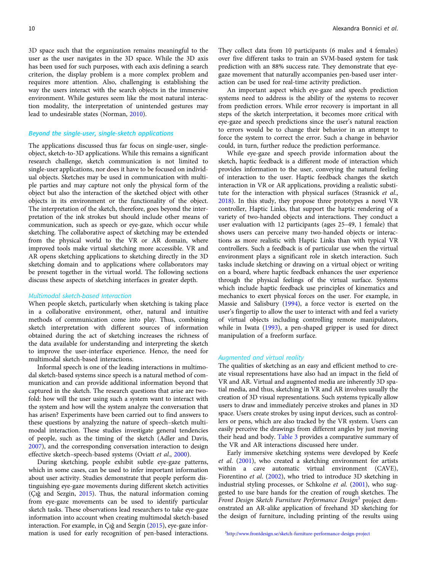3D space such that the organization remains meaningful to the user as the user navigates in the 3D space. While the 3D axis has been used for such purposes, with each axis defining a search criterion, the display problem is a more complex problem and requires more attention. Also, challenging is establishing the way the users interact with the search objects in the immersive environment. While gestures seem like the most natural interaction modality, the interpretation of unintended gestures may lead to undesirable states (Norman, [2010](#page-16-0)).

### Beyond the single-user, single-sketch applications

The applications discussed thus far focus on single-user, singleobject, sketch-to-3D applications. While this remains a significant research challenge, sketch communication is not limited to single-user applications, nor does it have to be focused on individual objects. Sketches may be used in communication with multiple parties and may capture not only the physical form of the object but also the interaction of the sketched object with other objects in its environment or the functionality of the object. The interpretation of the sketch, therefore, goes beyond the interpretation of the ink strokes but should include other means of communication, such as speech or eye-gaze, which occur while sketching. The collaborative aspect of sketching may be extended from the physical world to the VR or AR domain, where improved tools make virtual sketching more accessible. VR and AR opens sketching applications to sketching directly in the 3D sketching domain and to applications where collaborators may be present together in the virtual world. The following sections discuss these aspects of sketching interfaces in greater depth.

#### Multimodal sketch-based Interaction

When people sketch, particularly when sketching is taking place in a collaborative environment, other, natural and intuitive methods of communication come into play. Thus, combining sketch interpretation with different sources of information obtained during the act of sketching increases the richness of the data available for understanding and interpreting the sketch to improve the user-interface experience. Hence, the need for multimodal sketch-based interactions.

Informal speech is one of the leading interactions in multimodal sketch-based systems since speech is a natural method of communication and can provide additional information beyond that captured in the sketch. The research questions that arise are twofold: how will the user using such a system want to interact with the system and how will the system analyze the conversation that has arisen? Experiments have been carried out to find answers to these questions by analyzing the nature of speech–sketch multimodal interaction. These studies investigate general tendencies of people, such as the timing of the sketch (Adler and Davis, [2007\)](#page-14-0), and the corresponding conversation interaction to design effective sketch–speech-based systems (Oviatt et al., [2000\)](#page-16-0).

During sketching, people exhibit subtle eye-gaze patterns, which in some cases, can be used to infer important information about user activity. Studies demonstrate that people perform distinguishing eye-gaze movements during different sketch activities (Çığ and Sezgin, [2015](#page-14-0)). Thus, the natural information coming from eye-gaze movements can be used to identify particular sketch tasks. These observations lead researchers to take eye-gaze information into account when creating multimodal sketch-based interaction. For example, in Çığ and Sezgin [\(2015\)](#page-14-0), eye-gaze information is used for early recognition of pen-based interactions. They collect data from 10 participants (6 males and 4 females) over five different tasks to train an SVM-based system for task prediction with an 88% success rate. They demonstrate that eyegaze movement that naturally accompanies pen-based user interaction can be used for real-time activity prediction.

An important aspect which eye-gaze and speech prediction systems need to address is the ability of the systems to recover from prediction errors. While error recovery is important in all steps of the sketch interpretation, it becomes more critical with eye-gaze and speech predictions since the user's natural reaction to errors would be to change their behavior in an attempt to force the system to correct the error. Such a change in behavior could, in turn, further reduce the prediction performance.

While eye-gaze and speech provide information about the sketch, haptic feedback is a different mode of interaction which provides information to the user, conveying the natural feeling of interaction to the user. Haptic feedback changes the sketch interaction in VR or AR applications, providing a realistic substitute for the interaction with physical surfaces (Strasnick et al., [2018\)](#page-16-0). In this study, they propose three prototypes a novel VR controller, Haptic Links, that support the haptic rendering of a variety of two-handed objects and interactions. They conduct a user evaluation with 12 participants (ages 25–49, 1 female) that shows users can perceive many two-handed objects or interactions as more realistic with Haptic Links than with typical VR controllers. Such a feedback is of particular use when the virtual environment plays a significant role in sketch interaction. Such tasks include sketching or drawing on a virtual object or writing on a board, where haptic feedback enhances the user experience through the physical feelings of the virtual surface. Systems which include haptic feedback use principles of kinematics and mechanics to exert physical forces on the user. For example, in Massie and Salisbury [\(1994\)](#page-15-0), a force vector is exerted on the user's fingertip to allow the user to interact with and feel a variety of virtual objects including controlling remote manipulators, while in Iwata ([1993\)](#page-15-0), a pen-shaped gripper is used for direct manipulation of a freeform surface.

#### Augmented and virtual reality

The qualities of sketching as an easy and efficient method to create visual representations have also had an impact in the field of VR and AR. Virtual and augmented media are inherently 3D spatial media, and thus, sketching in VR and AR involves usually the creation of 3D visual representations. Such systems typically allow users to draw and immediately perceive strokes and planes in 3D space. Users create strokes by using input devices, such as controllers or pens, which are also tracked by the VR system. Users can easily perceive the drawings from different angles by just moving their head and body. [Table 3](#page-10-0) provides a comparative summary of the VR and AR interactions discussed here under.

Early immersive sketching systems were developed by Keefe et al. [\(2001\)](#page-15-0), who created a sketching environment for artists within a cave automatic virtual environment (CAVE), Fiorentino et al. [\(2002\)](#page-15-0), who tried to introduce 3D sketching in industrial styling processes, or Schkolne et al. [\(2001\)](#page-16-0), who suggested to use bare hands for the creation of rough sketches. The Front Design Sketch Furniture Performance Design<sup>3</sup> project demonstrated an AR-alike application of freehand 3D sketching for the design of furniture, including printing of the results using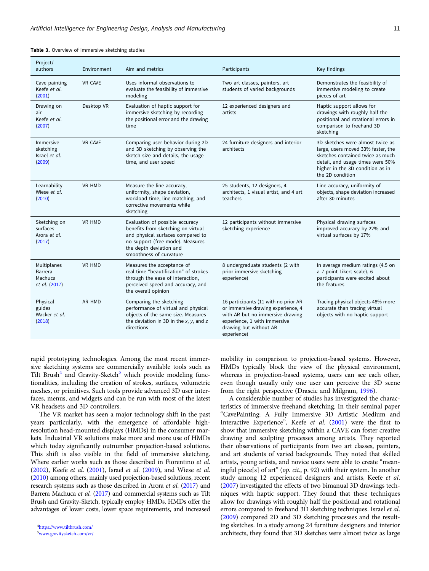| Project/<br>authors                                | Environment    | Aim and metrics                                                                                                                                                                                      | Participants                                                                                                                                                                            | Key findings                                                                                                                                                                                           |
|----------------------------------------------------|----------------|------------------------------------------------------------------------------------------------------------------------------------------------------------------------------------------------------|-----------------------------------------------------------------------------------------------------------------------------------------------------------------------------------------|--------------------------------------------------------------------------------------------------------------------------------------------------------------------------------------------------------|
| Cave painting<br>Keefe et al.<br>(2001)            | <b>VR CAVE</b> | Uses informal observations to<br>evaluate the feasibility of immersive<br>modeling                                                                                                                   | Two art classes, painters, art<br>students of varied backgrounds                                                                                                                        | Demonstrates the feasibility of<br>immersive modeling to create<br>pieces of art                                                                                                                       |
| Drawing on<br>air<br>Keefe et al.<br>(2007)        | Desktop VR     | Evaluation of haptic support for<br>immersive sketching by recording<br>the positional error and the drawing<br>time                                                                                 | 12 experienced designers and<br>artists                                                                                                                                                 | Haptic support allows for<br>drawings with roughly half the<br>positional and rotational errors in<br>comparison to freehand 3D<br>sketching                                                           |
| Immersive<br>sketching<br>Israel et al.<br>(2009)  | <b>VR CAVE</b> | Comparing user behavior during 2D<br>and 3D sketching by observing the<br>sketch size and details, the usage<br>time, and user speed                                                                 | 24 furniture designers and interior<br>architects                                                                                                                                       | 3D sketches were almost twice as<br>large, users moved 33% faster, the<br>sketches contained twice as much<br>detail, and usage times were 50%<br>higher in the 3D condition as in<br>the 2D condition |
| Learnability<br>Wiese et al.<br>(2010)             | VR HMD         | Measure the line accuracy,<br>uniformity, shape deviation,<br>workload time, line matching, and<br>corrective movements while<br>sketching                                                           | 25 students, 12 designers, 4<br>architects, 1 visual artist, and 4 art<br>teachers                                                                                                      | Line accuracy, uniformity of<br>objects, shape deviation increased<br>after 30 minutes                                                                                                                 |
| Sketching on<br>surfaces<br>Arora et al.<br>(2017) | <b>VR HMD</b>  | Evaluation of possible accuracy<br>benefits from sketching on virtual<br>and physical surfaces compared to<br>no support (free mode). Measures<br>the depth deviation and<br>smoothness of curvature | 12 participants without immersive<br>sketching experience                                                                                                                               | Physical drawing surfaces<br>improved accuracy by 22% and<br>virtual surfaces by 17%                                                                                                                   |
| Multiplanes<br>Barrera<br>Machuca<br>et al. (2017) | <b>VR HMD</b>  | Measures the acceptance of<br>real-time "beautification" of strokes<br>through the ease of interaction,<br>perceived speed and accuracy, and<br>the overall opinion                                  | 8 undergraduate students (2 with<br>prior immersive sketching<br>experience)                                                                                                            | In average medium ratings (4.5 on<br>a 7-point Likert scale), 6<br>participants were excited about<br>the features                                                                                     |
| Physical<br>guides<br>Wacker et al.<br>(2018)      | AR HMD         | Comparing the sketching<br>performance of virtual and physical<br>objects of the same size. Measures<br>the deviation in 3D in the $x$ , $y$ , and $z$<br>directions                                 | 16 participants (11 with no prior AR<br>or immersive drawing experience, 4<br>with AR but no immersive drawing<br>experience, 1 with immersive<br>drawing but without AR<br>experience) | Tracing physical objects 48% more<br>accurate than tracing virtual<br>objects with no haptic support                                                                                                   |

<span id="page-10-0"></span>Table 3. Overview of immersive sketching studies

rapid prototyping technologies. Among the most recent immersive sketching systems are commercially available tools such as Tilt Brush<sup>4</sup> and Gravity-Sketch<sup>5</sup> which provide modeling functionalities, including the creation of strokes, surfaces, volumetric meshes, or primitives. Such tools provide advanced 3D user interfaces, menus, and widgets and can be run with most of the latest VR headsets and 3D controllers.

The VR market has seen a major technology shift in the past years particularly, with the emergence of affordable highresolution head-mounted displays (HMDs) in the consumer markets. Industrial VR solutions make more and more use of HMDs which today significantly outnumber projection-based solutions. This shift is also visible in the field of immersive sketching. Where earlier works such as those described in Fiorentino et al. ([2002](#page-15-0)), Keefe et al. ([2001\)](#page-15-0), Israel et al. [\(2009](#page-15-0)), and Wiese et al. ([2010](#page-16-0)) among others, mainly used projection-based solutions, recent research systems such as those described in Arora et al. [\(2017\)](#page-14-0) and Barrera Machuca et al. [\(2017\)](#page-14-0) and commercial systems such as Tilt Brush and Gravity-Sketch, typically employ HMDs. HMDs offer the advantages of lower costs, lower space requirements, and increased mobility in comparison to projection-based systems. However, HMDs typically block the view of the physical environment, whereas in projection-based systems, users can see each other, even though usually only one user can perceive the 3D scene from the right perspective (Drascic and Milgram, [1996](#page-15-0)).

A considerable number of studies has investigated the characteristics of immersive freehand sketching. In their seminal paper "CavePainting: A Fully Immersive 3D Artistic Medium and Interactive Experience", Keefe et al. ([2001\)](#page-15-0) were the first to show that immersive sketching within a CAVE can foster creative drawing and sculpting processes among artists. They reported their observations of participants from two art classes, painters, and art students of varied backgrounds. They noted that skilled artists, young artists, and novice users were able to create "meaningful piece[s] of art" (op. cit., p. 92) with their system. In another study among 12 experienced designers and artists, Keefe et al. [\(2007\)](#page-15-0) investigated the effects of two bimanual 3D drawings techniques with haptic support. They found that these techniques allow for drawings with roughly half the positional and rotational errors compared to freehand 3D sketching techniques. Israel et al. [\(2009\)](#page-15-0) compared 2D and 3D sketching processes and the resulting sketches. In a study among 24 furniture designers and interior architects, they found that 3D sketches were almost twice as large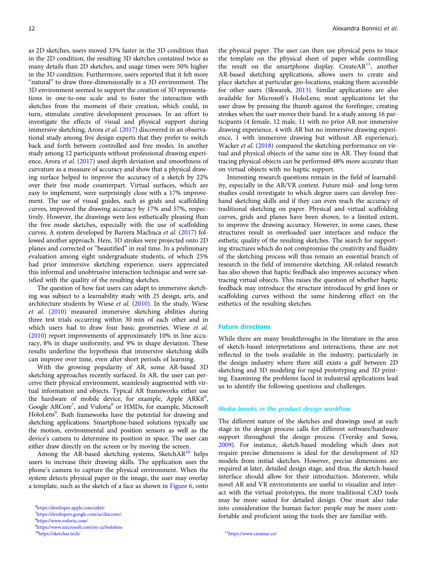as 2D sketches, users moved 33% faster in the 3D condition than in the 2D condition, the resulting 3D sketches contained twice as many details than 2D sketches, and usage times were 50% higher in the 3D condition. Furthermore, users reported that it felt more "natural" to draw three-dimensionally in a 3D environment. The 3D environment seemed to support the creation of 3D representations in one-to-one scale and to foster the interaction with sketches from the moment of their creation, which could, in turn, stimulate creative development processes. In an effort to investigate the effects of visual and physical support during immersive sketching, Arora et al. [\(2017\)](#page-14-0) discovered in an observational study among five design experts that they prefer to switch back and forth between controlled and free modes. In another study among 12 participants without professional drawing experience, Arora et al. ([2017\)](#page-14-0) used depth deviation and smoothness of curvature as a measure of accuracy and show that a physical drawing surface helped to improve the accuracy of a sketch by 22% over their free mode counterpart. Virtual surfaces, which are easy to implement, were surprisingly close with a 17% improvement. The use of visual guides, such as grids and scaffolding curves, improved the drawing accuracy by 17% and 57%, respectively. However, the drawings were less esthetically pleasing than the free mode sketches, especially with the use of scaffolding curves. A system developed by Barrera Machuca et al. ([2017\)](#page-14-0) followed another approach. Here, 3D strokes were projected onto 2D planes and corrected or "beautified" in real time. In a preliminary evaluation among eight undergraduate students, of which 25% had prior immersive sketching experience, users appreciated this informal and unobtrusive interaction technique and were satisfied with the quality of the resulting sketches.

The question of how fast users can adapt to immersive sketching was subject to a learnability study with 25 design, arts, and architecture students by Wiese et al. ([2010](#page-16-0)). In the study, Wiese et al. ([2010](#page-16-0)) measured immersive sketching abilities during three test trials occurring within 30 min of each other and in which users had to draw four basic geometries. Wiese et al. ([2010](#page-16-0)) report improvements of approximately 10% in line accuracy, 8% in shape uniformity, and 9% in shape deviation. These results underline the hypothesis that immersive sketching skills can improve over time, even after short periods of learning.

With the growing popularity of AR, some AR-based 3D sketching approaches recently surfaced. In AR, the user can perceive their physical environment, seamlessly augmented with virtual information and objects. Typical AR frameworks either use the hardware of mobile device, for example, Apple ARKit<sup>6</sup>, Google ARCore<sup>7</sup>, and Vuforia<sup>8</sup> or HMDs, for example, Microsoft HoloLens<sup>9</sup>. Both frameworks have the potential for drawing and sketching applications. Smartphone-based solutions typically use the motion, environmental and position sensors as well as the device's camera to determine its position in space. The user can either draw directly on the screen or by moving the screen.

Among the AR-based sketching systems, SketchAR $^{10}$  helps users to increase their drawing skills. The application uses the phone's camera to capture the physical environment. When the system detects physical paper in the image, the user may overlay a template, such as the sketch of a face as shown in [Figure 6,](#page-12-0) onto the physical paper. The user can then use physical pens to trace the template on the physical sheet of paper while controlling the result on the smartphone display. Create $AR<sup>11</sup>$ , another AR-based sketching applications, allows users to create and place sketches at particular geo-locations, making them accessible for other users (Skwarek, [2013\)](#page-16-0). Similar applications are also available for Microsoft's HoloLens; most applications let the user draw by pressing the thumb against the forefinger, creating strokes when the user moves their hand. In a study among 16 participants (4 female, 12 male, 11 with no prior AR nor immersive drawing experience, 4 with AR but no immersive drawing experience, 1 with immersive drawing but without AR experience), Wacker et al. [\(2018\)](#page-16-0) compared the sketching performance on virtual and physical objects of the same size in AR. They found that tracing physical objects can be performed 48% more accurate than on virtual objects with no haptic support.

Interesting research questions remain in the field of learnability, especially in the AR/VR context. Future mid- and long-term studies could investigate to which degree users can develop freehand sketching skills and if they can even reach the accuracy of traditional sketching on paper. Physical and virtual scaffolding curves, grids and planes have been shown, to a limited extent, to improve the drawing accuracy. However, in some cases, these structures result in overloaded user interfaces and reduce the esthetic quality of the resulting sketches. The search for supporting structures which do not compromise the creativity and fluidity of the sketching process will thus remain an essential branch of research in the field of immersive sketching. AR-related research has also shown that haptic feedback also improves accuracy when tracing virtual objects. This raises the question of whether haptic feedback may introduce the structure introduced by grid lines or scaffolding curves without the same hindering effect on the esthetics of the resulting sketches.

#### Future directions

While there are many breakthroughs in the literature in the area of sketch-based interpretations and interactions, these are not reflected in the tools available in the industry, particularly in the design industry where there still exists a gulf between 2D sketching and 3D modeling for rapid prototyping and 3D printing. Examining the problems faced in industrial applications lead us to identify the following questions and challenges.

#### Media breaks in the product design workflow

The different nature of the sketches and drawings used at each stage in the design process calls for different software/hardware support throughout the design process (Tversky and Suwa, [2009\)](#page-16-0). For instance, sketch-based modeling which does not require precise dimensions is ideal for the development of 3D models from initial sketches. However, precise dimensions are required at later, detailed design stage, and thus, the sketch-based interface should allow for their introduction. Moreover, while novel AR and VR environments are useful to visualize and interact with the virtual prototypes, the more traditional CAD tools may be more suited for detailed design. One must also take into consideration the human factor: people may be more comfortable and proficient using the tools they are familiar with.

<sup>6</sup> <https://developer.apple.com/arkit/>

<sup>7</sup> <https://developers.google.com/ar/discover/>

<sup>8</sup> <https://www.vuforia.com/>

<sup>9</sup> <https://www.microsoft.com/en-ca/hololens>

 $10$ <sub><https://sketchar.tech/></sub>  $11$ <sub>https://www.createar.co/</sub>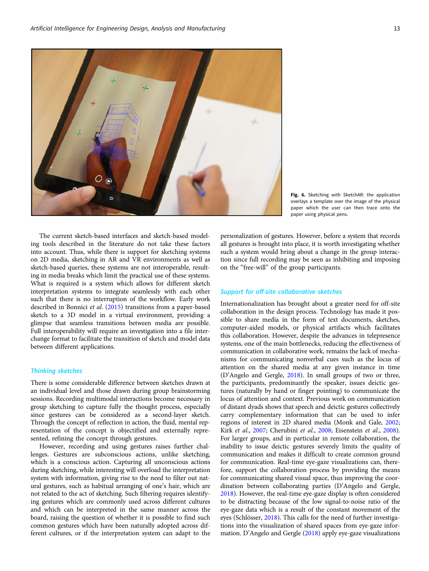<span id="page-12-0"></span>

Fig. 6. Sketching with SketchAR: the application overlays a template over the image of the physical paper which the user can then trace onto the paper using physical pens.

The current sketch-based interfaces and sketch-based modeling tools described in the literature do not take these factors into account. Thus, while there is support for sketching systems on 2D media, sketching in AR and VR environments as well as sketch-based queries, these systems are not interoperable, resulting in media breaks which limit the practical use of these systems. What is required is a system which allows for different sketch interpretation systems to integrate seamlessly with each other such that there is no interruption of the workflow. Early work described in Bonnici et al. [\(2015\)](#page-14-0) transitions from a paper-based sketch to a 3D model in a virtual environment, providing a glimpse that seamless transitions between media are possible. Full interoperability will require an investigation into a file interchange format to facilitate the transition of sketch and model data between different applications.

#### Thinking sketches

There is some considerable difference between sketches drawn at an individual level and those drawn during group brainstorming sessions. Recording multimodal interactions become necessary in group sketching to capture fully the thought process, especially since gestures can be considered as a second-layer sketch. Through the concept of reflection in action, the fluid, mental representation of the concept is objectified and externally represented, refining the concept through gestures.

However, recording and using gestures raises further challenges. Gestures are subconscious actions, unlike sketching, which is a conscious action. Capturing all unconscious actions during sketching, while interesting will overload the interpretation system with information, giving rise to the need to filter out natural gestures, such as habitual arranging of one's hair, which are not related to the act of sketching. Such filtering requires identifying gestures which are commonly used across different cultures and which can be interpreted in the same manner across the board, raising the question of whether it is possible to find such common gestures which have been naturally adopted across different cultures, or if the interpretation system can adapt to the personalization of gestures. However, before a system that records all gestures is brought into place, it is worth investigating whether such a system would bring about a change in the group interaction since full recording may be seen as inhibiting and imposing on the "free-will" of the group participants.

#### Support for off-site collaborative sketches

Internationalization has brought about a greater need for off-site collaboration in the design process. Technology has made it possible to share media in the form of text documents, sketches, computer-aided models, or physical artifacts which facilitates this collaboration. However, despite the advances in telepresence systems, one of the main bottlenecks, reducing the effectiveness of communication in collaborative work, remains the lack of mechanisms for communicating nonverbal cues such as the locus of attention on the shared media at any given instance in time (D'Angelo and Gergle, [2018](#page-15-0)). In small groups of two or three, the participants, predominantly the speaker, issues deictic gestures (naturally by hand or finger pointing) to communicate the locus of attention and context. Previous work on communication of distant dyads shows that speech and deictic gestures collectively carry complementary information that can be used to infer regions of interest in 2D shared media (Monk and Gale, [2002](#page-16-0); Kirk et al., [2007](#page-15-0); Cherubini et al., [2008](#page-14-0); Eisenstein et al., [2008](#page-15-0)). For larger groups, and in particular in remote collaboration, the inability to issue deictic gestures severely limits the quality of communication and makes it difficult to create common ground for communication. Real-time eye-gaze visualizations can, therefore, support the collaboration process by providing the means for communicating shared visual space, thus improving the coordination between collaborating parties (D'Angelo and Gergle, [2018](#page-15-0)). However, the real-time eye-gaze display is often considered to be distracting because of the low signal-to-noise ratio of the eye-gaze data which is a result of the constant movement of the eyes (Schlösser, [2018](#page-16-0)). This calls for the need of further investigations into the visualization of shared spaces from eye-gaze information. D'Angelo and Gergle [\(2018\)](#page-15-0) apply eye-gaze visualizations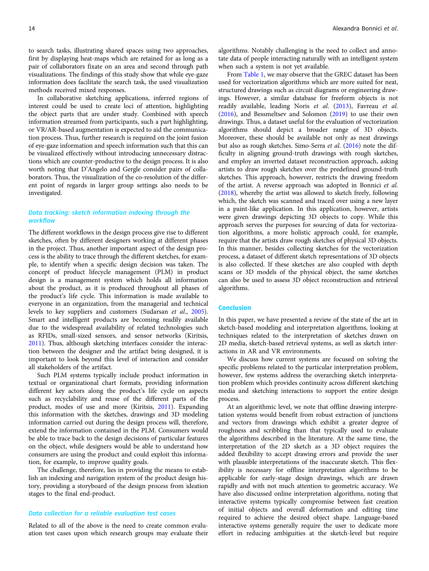to search tasks, illustrating shared spaces using two approaches, first by displaying heat-maps which are retained for as long as a pair of collaborators fixate on an area and second through path visualizations. The findings of this study show that while eye-gaze information does facilitate the search task, the used visualization methods received mixed responses.

In collaborative sketching applications, inferred regions of interest could be used to create loci of attention, highlighting the object parts that are under study. Combined with speech information streamed from participants, such a part highlighting, or VR/AR-based augmentation is expected to aid the communication process. Thus, further research is required on the joint fusion of eye-gaze information and speech information such that this can be visualized effectively without introducing unnecessary distractions which are counter-productive to the design process. It is also worth noting that D'Angelo and Gergle consider pairs of collaborators. Thus, the visualization of the co-resolution of the different point of regards in larger group settings also needs to be investigated.

#### Data tracking: sketch information indexing through the workflow

The different workflows in the design process give rise to different sketches, often by different designers working at different phases in the project. Thus, another important aspect of the design process is the ability to trace through the different sketches, for example, to identify when a specific design decision was taken. The concept of product lifecycle management (PLM) in product design is a management system which holds all information about the product, as it is produced throughout all phases of the product's life cycle. This information is made available to everyone in an organization, from the managerial and technical levels to key suppliers and customers (Sudarsan et al., [2005\)](#page-16-0). Smart and intelligent products are becoming readily available due to the widespread availability of related technologies such as RFIDs, small-sized sensors, and sensor networks (Kiritsis, [2011\)](#page-15-0). Thus, although sketching interfaces consider the interaction between the designer and the artifact being designed, it is important to look beyond this level of interaction and consider all stakeholders of the artifact.

Such PLM systems typically include product information in textual or organizational chart formats, providing information different key actors along the product's life cycle on aspects such as recyclability and reuse of the different parts of the product, modes of use and more (Kiritsis, [2011\)](#page-15-0). Expanding this information with the sketches, drawings and 3D modeling information carried out during the design process will, therefore, extend the information contained in the PLM. Consumers would be able to trace back to the design decisions of particular features on the object, while designers would be able to understand how consumers are using the product and could exploit this information, for example, to improve quality goals.

The challenge, therefore, lies in providing the means to establish an indexing and navigation system of the product design history, providing a storyboard of the design process from ideation stages to the final end-product.

#### Data collection for a reliable evaluation test cases

Related to all of the above is the need to create common evaluation test cases upon which research groups may evaluate their algorithms. Notably challenging is the need to collect and annotate data of people interacting naturally with an intelligent system when such a system is not yet available.

From [Table 1](#page-4-0), we may observe that the GREC dataset has been used for vectorization algorithms which are more suited for neat, structured drawings such as circuit diagrams or engineering drawings. However, a similar database for freeform objects is not readily available, leading Noris et al. [\(2013\)](#page-16-0), Favreau et al. ([2016\)](#page-15-0), and Bessmeltsev and Solomon [\(2019\)](#page-14-0) to use their own drawings. Thus, a dataset useful for the evaluation of vectorization algorithms should depict a broader range of 3D objects. Moreover, these should be available not only as neat drawings but also as rough sketches. Simo-Serra et al. ([2016\)](#page-16-0) note the difficulty in aligning ground-truth drawings with rough sketches, and employ an inverted dataset reconstruction approach, asking artists to draw rough sketches over the predefined ground-truth sketches. This approach, however, restricts the drawing freedom of the artist. A reverse approach was adopted in Bonnici et al. ([2018\)](#page-14-0), whereby the artist was allowed to sketch freely, following which, the sketch was scanned and traced over using a new layer in a paint-like application. In this application, however, artists were given drawings depicting 3D objects to copy. While this approach serves the purposes for sourcing of data for vectorization algorithms, a more holistic approach could, for example, require that the artists draw rough sketches of physical 3D objects. In this manner, besides collecting sketches for the vectorization process, a dataset of different sketch representations of 3D objects is also collected. If these sketches are also coupled with depth scans or 3D models of the physical object, the same sketches can also be used to assess 3D object reconstruction and retrieval algorithms.

#### Conclusion

In this paper, we have presented a review of the state of the art in sketch-based modeling and interpretation algorithms, looking at techniques related to the interpretation of sketches drawn on 2D media, sketch-based retrieval systems, as well as sketch interactions in AR and VR environments.

We discuss how current systems are focused on solving the specific problems related to the particular interpretation problem, however, few systems address the overarching sketch interpretation problem which provides continuity across different sketching media and sketching interactions to support the entire design process.

At an algorithmic level, we note that offline drawing interpretation systems would benefit from robust extraction of junctions and vectors from drawings which exhibit a greater degree of roughness and scribbling than that typically used to evaluate the algorithms described in the literature. At the same time, the interpretation of the 2D sketch as a 3D object requires the added flexibility to accept drawing errors and provide the user with plausible interpretations of the inaccurate sketch. This flexibility is necessary for offline interpretation algorithms to be applicable for early-stage design drawings, which are drawn rapidly and with not much attention to geometric accuracy. We have also discussed online interpretation algorithms, noting that interactive systems typically compromise between fast creation of initial objects and overall deformation and editing time required to achieve the desired object shape. Language-based interactive systems generally require the user to dedicate more effort in reducing ambiguities at the sketch-level but require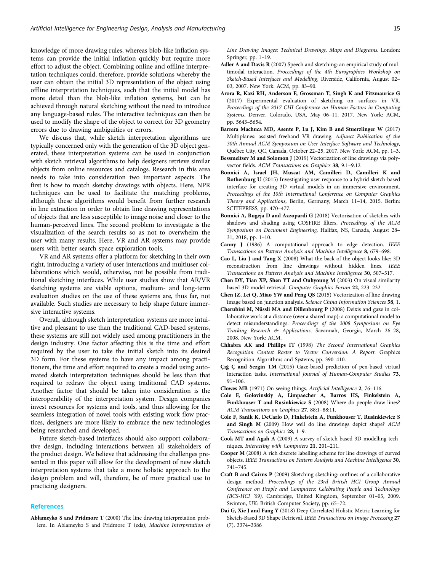<span id="page-14-0"></span>knowledge of more drawing rules, whereas blob-like inflation systems can provide the initial inflation quickly but require more effort to adjust the object. Combining online and offline interpretation techniques could, therefore, provide solutions whereby the user can obtain the initial 3D representation of the object using offline interpretation techniques, such that the initial model has more detail than the blob-like inflation systems, but can be achieved through natural sketching without the need to introduce any language-based rules. The interactive techniques can then be used to modify the shape of the object to correct for 3D geometry errors due to drawing ambiguities or errors.

We discuss that, while sketch interpretation algorithms are typically concerned only with the generation of the 3D object generated, these interpretation systems can be used in conjunction with sketch retrieval algorithms to help designers retrieve similar objects from online resources and catalogs. Research in this area needs to take into consideration two important aspects. The first is how to match sketchy drawings with objects. Here, NPR techniques can be used to facilitate the matching problems, although these algorithms would benefit from further research in line extraction in order to obtain line drawing representations of objects that are less susceptible to image noise and closer to the human-perceived lines. The second problem to investigate is the visualization of the search results so as not to overwhelm the user with many results. Here, VR and AR systems may provide users with better search space exploration tools.

VR and AR systems offer a platform for sketching in their own right, introducing a variety of user interactions and multiuser collaborations which would, otherwise, not be possible from traditional sketching interfaces. While user studies show that AR/VR sketching systems are viable options, medium- and long-term evaluation studies on the use of these systems are, thus far, not available. Such studies are necessary to help shape future immersive interactive systems.

Overall, although sketch interpretation systems are more intuitive and pleasant to use than the traditional CAD-based systems, these systems are still not widely used among practitioners in the design industry. One factor affecting this is the time and effort required by the user to take the initial sketch into its desired 3D form. For these systems to have any impact among practitioners, the time and effort required to create a model using automated sketch interpretation techniques should be less than that required to redraw the object using traditional CAD systems. Another factor that should be taken into consideration is the interoperability of the interpretation system. Design companies invest resources for systems and tools, and thus allowing for the seamless integration of novel tools with existing work flow practices, designers are more likely to embrace the new technologies being researched and developed.

Future sketch-based interfaces should also support collaborative design, including interactions between all stakeholders of the product design. We believe that addressing the challenges presented in this paper will allow for the development of new sketch interpretation systems that take a more holistic approach to the design problem and will, therefore, be of more practical use to practicing designers.

#### **References**

Ablameyko S and Pridmore T (2000) The line drawing interpretation problem. In Ablameyko S and Pridmore T (eds), Machine Interpretation of Line Drawing Images: Technical Drawings, Maps and Diagrams. London: Springer, pp. 1–19.

- Adler A and Davis R (2007) Speech and sketching: an empirical study of multimodal interaction. Proceedings of the 4th Eurographics Workshop on Sketch-Based Interfaces and Modelling, Riverside, California, August 02– 03, 2007. New York: ACM, pp. 83–90.
- Arora R, Kazi RH, Anderson F, Grossman T, Singh K and Fitzmaurice G (2017) Experimental evaluation of sketching on surfaces in VR. Proceedings of the 2017 CHI Conference on Human Factors in Computing Systems, Denver, Colorado, USA, May 06–11, 2017. New York: ACM, pp. 5643–5654.
- Barrera Machuca MD, Asente P, Lu J, Kim B and Stuerzlinger W (2017) Multiplanes: assisted freehand VR drawing. Adjunct Publication of the 30th Annual ACM Symposium on User Interface Software and Technology, Québec City, QC, Canada, October 22–25, 2017. New York: ACM, pp. 1–3.
- Bessmeltsev M and Solomon J (2019) Vectorization of line drawings via polyvector fields. ACM Transactions on Graphics 38, 9.1-9.12
- Bonnici A, Israel JH, Muscat AM, Camilleri D, Camilleri K and Rothenburg U (2015) Investigating user response to a hybrid sketch-based interface for creating 3D virtual models in an immersive environment. Proceedings of the 10th International Conference on Computer Graphics Theory and Applications, Berlin, Germany, March 11–14, 2015. Berlin: SCITEPRESS, pp. 470–477.
- Bonnici A, Bugeja D and Azzopardi G (2018) Vectorisation of sketches with shadows and shading using COSFIRE filters. Proceedings of the ACM Symposium on Document Engineering, Halifax, NS, Canada, August 28– 31, 2018, pp. 1–10.
- Canny J (1986) A computational approach to edge detection. IEEE Transactions on Pattern Analysis and Machine Intelligence 8, 679–698.
- Cao L, Liu J and Tang X (2008) What the back of the object looks like: 3D reconstruction from line drawings without hidden lines. IEEE Transactions on Pattern Analysis and Machine Intelligence 30, 507–517.
- Chen DY, Tian XP, Shen YT and Ouhyoung M (2003) On visual similarity based 3D model retrieval. Computer Graphics Forum 22, 223–232
- Chen JZ, Lei Q, Miao YW and Peng QS (2015) Vectorization of line drawing image based on junction analysis. Science China Information Sciences 58, 1.
- Cherubini M, Nüssli MA and Dillenbourg P (2008) Deixis and gaze in collaborative work at a distance (over a shared map): a computational model to detect misunderstandings. Proceedings of the 2008 Symposium on Eye Tracking Research & Applications, Savannah, Georgia, March 26–28, 2008. New York: ACM.
- Chhabra AK and Phillips IT (1998) The Second International Graphics Recognition Contest Raster to Vector Conversion: A Report. Graphics Recognition Algorithms and Systems, pp. 390–410.
- Çığ Ç and Sezgin TM (2015) Gaze-based prediction of pen-based virtual interaction tasks. International Journal of Human-Computer Studies 73, 91–106.

Clowes MB (1971) On seeing things. Artificial Intelligence 2, 76–116.

- Cole F, Golovinskiy A, Limpaecher A, Barros HS, Finkelstein A, Funkhouser T and Rusinkiewicz S (2008) Where do people draw lines? ACM Transactions on Graphics 27, 88:1–88:11.
- Cole F, Sanik K, DeCarlo D, Finkelstein A, Funkhouser T, Rusinkiewicz S and Singh M (2009) How well do line drawings depict shape? ACM Transactions on Graphics 28, 1–9.
- Cook MT and Agah A (2009) A survey of sketch-based 3D modelling techniques. Interacting with Computers 21, 201–211.
- Cooper M (2008) A rich discrete labelling scheme for line drawings of curved objects. IEEE Transactions on Pattern Analysis and Machine Intelligence 30, 741–745.
- Craft B and Cairns P (2009) Sketching sketching: outlines of a collaborative design method. Proceedings of the 23rd British HCI Group Annual Conference on People and Computers: Celebrating People and Technology (BCS-HCI '09), Cambridge, United Kingdom, September 01–05, 2009. Swinton, UK: British Computer Society, pp. 65–72.
- Dai G, Xie J and Fang Y (2018) Deep Correlated Holistic Metric Learning for Sketch-Based 3D Shape Retrieval. IEEE Transactions on Image Processing 27 (7), 3374–3386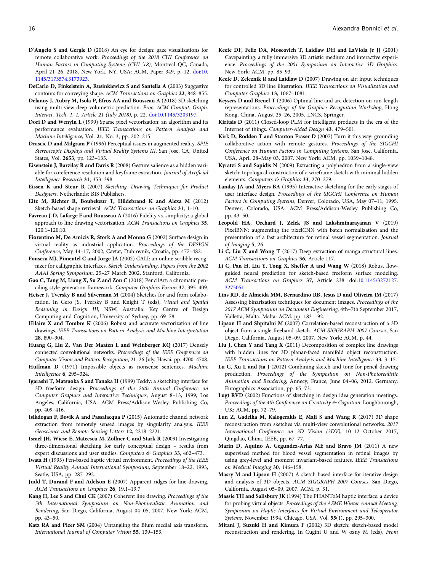- <span id="page-15-0"></span>D'Angelo S and Gergle D (2018) An eye for design: gaze visualizations for remote collaborative work. Proceedings of the 2018 CHI Conference on Human Factors in Computing Systems (CHI '18), Montreal QC, Canada, April 21–26, 2018. New York, NY, USA: ACM, Paper 349, p. 12, [doi:10.](https://doi.org/10.1145/3173574.3173923) [1145/3173574.3173923.](https://doi.org/10.1145/3173574.3173923)
- DeCarlo D, Finkelstein A, Rusinkiewicz S and Santella A (2003) Suggestive contours for conveying shape. ACM Transactions on Graphics 22, 848–855.
- Delanoy J, Aubry M, Isola P, Efros AA and Bousseau A (2018) 3D sketching using multi-view deep volumetric prediction. Proc. ACM Comput. Graph. Interact. Tech. 1, 1, Article 21 (July 2018), p. 22. [doi:10.1145/3203197.](https://doi.org/10.1145/3203197)
- Dori D and Wenyin L (1999) Sparse pixel vectorization: an algorithm and its performance evaluation. IEEE Transactions on Pattern Analysis and Machine Intelligence, Vol. 21, No. 3, pp. 202–215.
- Drascic D and Milgram P (1996) Perceptual issues in augmented reality. SPIE Stereoscopic Displays and Virtual Reality Systems III, San Jose, CA, United States, Vol. 2653, pp. 123–135.
- Eisenstein J, Barzilay R and Davis R (2008) Gesture salience as a hidden variable for coreference resolution and keyframe extraction. Journal of Artificial Intelligence Research 31, 353–398.
- Eissen K and Steur R (2007) Sketching. Drawing Techniques for Product Designers. Netherlands: BIS Publishers.
- Eitz M, Richter R, Boubekeur T, Hildebrand K and Alexa M (2012) Sketch-based shape retrieval. ACM Transactions on Graphics 31, 1–10.
- Favreau J-D, Lafarge F and Bousseau A (2016) Fidelity vs. simplicity: a global approach to line drawing vectorization. ACM Transactions on Graphics 35, 120:1–120:10.
- Fiorentino M, De Amicis R, Stork A and Monno G (2002) Surface design in virtual reality as industrial application. Proceedings of the DESIGN Conference, May 14–17, 2002, Cavtat, Dubrovnik, Croatia, pp. 477–482.
- Fonseca MJ, Pimentel C and Jorge JA (2002) CALI: an online scribble recognizer for calligraphic interfaces. Sketch Understanding, Papers from the 2002 AAAI Spring Symposium, 25–27 March 2002, Stanford, California.
- Gao C, Tang M, Liang X, Su Z and Zou C (2018) PencilArt: a chromatic penciling style generation framework. Computer Graphics Forum 37, 395–409.
- Heiser J, Tversky B and Silverman M (2004) Sketches for and from collaboration. In Gero JS, Tversky B and Knight T (eds), Visual and Spatial Reasoning in Design III, NSW, Australia: Key Centre of Design Computing and Cognition, University of Sydney, pp. 69–78.
- Hilaire X and Tombre K (2006) Robust and accurate vectorization of line drawings. IEEE Transactions on Pattern Analysis and Machine Interpretation 28, 890–904.
- Huang G, Liu Z, Van Der Maaten L and Weinberger KQ (2017) Densely connected convolutional networks. Proceedings of the IEEE Conference on Computer Vision and Pattern Recognition, 21–26 July, Hawai, pp. 4700–4708.
- Huffman D (1971) Impossible objects as nonsense sentences. Machine Intelligence 6, 295–324.
- Igarashi T, Matsuoka S and Tanaka H (1999) Teddy: a sketching interface for 3D freeform design. Proceedings of the 26th Annual Conference on Computer Graphics and Interactive Techniques, August 8–13, 1999, Los Angeles, California, USA. ACM Press/Addison-Wesley Publishing Co, pp. 409–416.
- Isikdogan F, Bovik A and Passalacqua P (2015) Automatic channel network extraction from remotely sensed images by singularity analysis. IEEE Geoscience and Remote Sensing Letters 12, 2218–2221.
- Israel JH, Wiese E, Mateescu M, Zöllner C and Stark R (2009) Investigating three-dimensional sketching for early conceptual design – results from expert discussions and user studies. Computers & Graphics 33, 462-473.
- Iwata H (1993) Pen-based haptic virtual environment. Proceedings of the IEEE Virtual Reality Annual International Symposium, September 18–22, 1993, Seatle, USA, pp. 287–292.
- Judd T, Durand F and Adelson E (2007) Apparent ridges for line drawing. ACM Transactions on Graphics 26, 19.1–19.7
- Kang H, Lee S and Chui CK (2007) Coherent line drawing. Proceedings of the 5th International Symposium on Non-Photorealistic Animation and Rendering, San Diego, California, August 04–05, 2007. New York: ACM, pp. 43–50.
- Katz RA and Pizer SM (2004) Untangling the Blum medial axis transform. International Journal of Computer Vision 55, 139–153.
- Keefe DF, Feliz DA, Moscovich T, Laidlaw DH and LaViola Jr JJ (2001) Cavepainting: a fully immersive 3D artistic medium and interactive experience. Proceedings of the 2001 Symposium on Interactive 3D Graphics. New York: ACM, pp. 85–93.
- Keefe D, Zeleznik R and Laidlaw D (2007) Drawing on air: input techniques for controlled 3D line illustration. IEEE Transactions on Visualization and Computer Graphics 13, 1067–1081.
- Keysers D and Breuel T (2006) Optimal line and arc detection on run-length representations. Proceedings of the Graphics Recognition Workshop, Hong Kong, China, August 25–26, 2005. LNCS, Springer.
- Kiritsis D (2011) Closed-loop PLM for intelligent products in the era of the Internet of things. Computer-Aided Design 43, 479–501.
- Kirk D, Rodden T and Stanton Fraser D (2007) Turn it this way: grounding collaborative action with remote gestures. Proceedings of the SIGCHI Conference on Human Factors in Computing Systems, San Jose, California, USA, April 28–May 03, 2007. New York: ACM, pp. 1039–1048.
- Kyratzi S and Sapidis N (2009) Extracting a polyhedron from a single-view sketch: topological construction of a wireframe sketch with minimal hidden elements. Computers & Graphics 33, 270-279.
- Landay JA and Myers BA (1995) Interactive sketching for the early stages of user interface design. Proceedings of the SIGCHI Conference on Human Factors in Computing Systems, Denver, Colorado, USA, May 07–11, 1995. Denver, Colorado, USA: ACM Press/Addison-Wesley Publishing Co, pp. 43–50.
- Leopold HA, Orchard J, Zelek JS and Lakshminarayanan V (2019) PixelBNN: augmenting the pixelCNN with batch normalization and the presentation of a fast architecture for retinal vessel segmentation. Journal of Imaging 5, 26.
- Li C, Liu X and Wong T (2017) Deep extraction of manga structural lines. ACM Transactions on Graphics 36, Article 117.
- Li C, Pan H, Liu Y, Tong X, Sheffer A and Wang W (2018) Robust flowguided neural prediction for sketch-based freeform surface modeling. ACM Transactions on Graphics 37, Article 238. doi[:10.1145/3272127.](https://doi.org/10.1145/3272127.3275051) [3275051](https://doi.org/10.1145/3272127.3275051).
- Lins RD, de Almeida MM, Bernardino RB, Jesus D and Oliveira JM (2017) Assessing binarization techniques for document images. Proceedings of the 2017 ACM Symposium on Document Engineering, 4th–7th September 2017, Valletta, Malta. Malta: ACM, pp. 183–192.
- Lipson H and Shpitalni M (2007) Correlation-based reconstruction of a 3D object from a single freehand sketch. ACM SIGGRAPH 2007 Courses, San Diego, California, August 05–09, 2007. New York: ACM, p. 44.
- Liu J, Chen Y and Tang X (2011) Decomposition of complex line drawings with hidden lines for 3D planar-faced manifold object reconstruction. IEEE Transactions on Pattern Analysis and Machine Intelligence 33, 3–15.
- Lu C, Xu L and Jia J (2012) Combining sketch and tone for pencil drawing production. Proceedings of the Symposium on Non-Photorealistic Animation and Rendering, Annecy, France, June 04–06, 2012. Germany: Eurographics Association, pp. 65–73.
- Lugt RVD (2002) Functions of sketching in design idea generation meetings. Proceedings of the 4th Conference on Creativity & Cognition. Loughborough, UK: ACM, pp. 72–79.
- Lun Z, Gadelha M, Kalogerakis E, Maji S and Wang R (2017) 3D shape reconstruction from sketches via multi-view convolutional networks. 2017 International Conference on 3D Vision (3DV), 10–12 October 2017, Qingdao, China. IEEE, pp. 67–77.
- Marin D, Aquino A, Gegundez-Arias ME and Bravo JM (2011) A new supervised method for blood vessel segmentation in retinal images by using grey-level and moment invariant-based features. IEEE Transactions on Medical Imaging 30, 146–158.
- Masry M and Lipson H (2007) A sketch-based interface for iterative design and analysis of 3D objects. ACM SIGGRAPH 2007 Courses, San Diego, California, August 05–09, 2007. ACM, p. 31.
- Massie TH and Salisbury JK (1994) The PHANToM haptic interface: a device for probing virtual objects. Proceedings of the ASME Winter Annual Meeting, Symposium on Haptic Interfaces for Virtual Environment and Teleoperator Systems, November 1994, Chicago, USA, Vol. 55(1), pp. 295–300.
- Mitani J, Suzuki H and Kimura F (2002) 3D sketch: sketch-based model reconstruction and rendering. In Cugini U and W ozny M (eds), From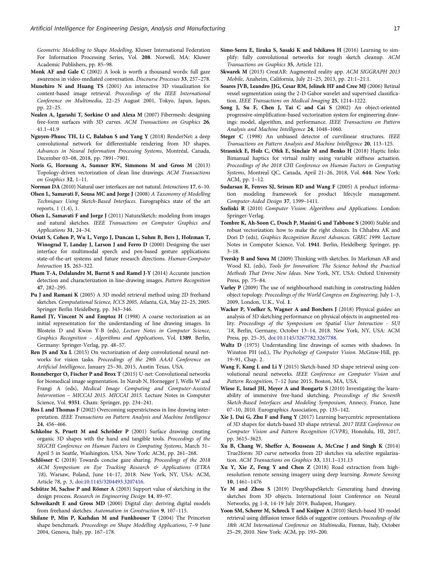<span id="page-16-0"></span>Geometric Modelling to Shape Modelling, Kluwer International Federation For Information Processing Series, Vol. 208. Norwell, MA: Kluwer Academic Publishers, pp. 85–98.

- Monk AF and Gale C (2002) A look is worth a thousand words: full gaze awareness in video-mediated conversation. Discourse Processes 33, 257–278.
- Munehiro N and Huang TS (2001) An interactive 3D visualization for content-based image retrieval. Proceedings of the IEEE International Conference on Multimedia, 22–25 August 2001, Tokyo, Japan, Japan, pp. 22–25.
- Nealen A, Igarashi T, Sorkine O and Alexa M (2007) Fibermesh: designing free-form surfaces with 3D curves. ACM Transactions on Graphics 26, 41.1–41.9
- Nguyen-Phuoc TH, Li C, Balaban S and Yang Y (2018) RenderNet: a deep convolutional network for differentiable rendering from 3D shapes. Advances in Neural Information Processing Systems, Montréal, Canada, December 03–08, 2018, pp. 7891–7901.
- Noris G, Hornung A, Sumner RW, Simmons M and Gross M (2013) Topology-driven vectorization of clean line drawings. ACM Transactions on Graphics 32, 1–11.
- Norman DA (2010) Natural user interfaces are not natural. Interactions 17, 6–10.
- Olsen L, Samavati F, Sousa MC and Jorge J (2008) A Taxonomy of Modelling Techniques Using Sketch-Based Interfaces. Eurographics state of the art reports, 1 (1.4), 1.
- Olsen L, Samavati F and Jorge J (2011) NaturaSketch: modeling from images and natural sketches. IEEE Transactions on Computer Graphics and Applications 31, 24–34.
- Oviatt S, Cohen P, Wu L, Vergo J, Duncan L, Suhm B, Bers J, Holzman T, Winograd T, Landay J, Larson J and Ferro D (2000) Designing the user interface for multimodal speech and pen-based gesture applications: state-of-the-art systems and future research directions. Human-Computer Interaction 15, 263–322.
- Pham T-A, Delalandre M, Barrat S and Ramel J-Y (2014) Accurate junction detection and characterization in line-drawing images. Pattern Recognition 47, 282–295.
- Pu J and Ramani K (2005) A 3D model retrieval method using 2D freehand sketches. Computational Science, ICCS 2005, Atlanta, GA, May 22–25, 2005. Springer Berlin Heidelberg, pp. 343–346.
- Ramel JY, Vincent N and Emptoz H (1998) A coarse vectorization as an initial representation for the understanding of line drawing images. In Blostein D and Kwon Y-B (eds), Lecture Notes in Computer Science, Graphics Recognition – Algorithms and Applications, Vol. 1389. Berlin, Germany: Springer-Verlag, pp. 48–57.
- Ren JS and Xu L (2015) On vectorization of deep convolutional neural networks for vision tasks. Proceedings of the 29th AAAI Conference on Artificial Intelligence, January 25–30, 2015, Austin Texas, USA.
- Ronneberger O, Fischer P and Brox T (2015) U-net: Convolutional networks for biomedical image segmentation. In Navab N, Hornegger J, Wells W and Frangi A (eds), Medical Image Computing and Computer-Assisted Intervention – MICCAI 2015. MICCAI 2015. Lecture Notes in Computer Science, Vol. 9351. Cham: Springer, pp. 234–241.
- Ros L and Thomas F (2002) Overcoming superstrictness in line drawing interpretation. IEEE Transactions on Pattern Analysis and Machine Intelligence 24, 456–466.
- Schkolne S, Pruett M and Schröder P (2001) Surface drawing: creating organic 3D shapes with the hand and tangible tools. Proceedings of the SIGCHI Conference on Human Factors in Computing Systems, March 31– April 5 in Seattle, Washington, USA. New York: ACM, pp. 261–268.
- Schlösser C (2018) Towards concise gaze sharing. Proceedings of the 2018 ACM Symposium on Eye Tracking Research & Applications (ETRA '18), Warsaw, Poland, June 14–17, 2018. New York, NY, USA: ACM, Article 78, p. 3, [doi:10.1145/3204493.3207416.](https://doi.org/10.1145/3204493.3207416)
- Schütze M, Sachse P and Römer A (2003) Support value of sketching in the design process. Research in Engineering Design 14, 89–97.
- Schweikardt E and Gross MD (2000) Digital clay: deriving digital models from freehand sketches. Automation in Construction 9, 107–115.
- Shilane P, Min P, Kazhdan M and Funkhouser T (2004) The Princeton shape benchmark. Proceedings on Shape Modelling Applications, 7–9 June 2004, Genova, Italy, pp. 167–178.
- Simo-Serra E, Iizuka S, Sasaki K and Ishikawa H (2016) Learning to simplify: fully convolutional networks for rough sketch cleanup. ACM Transactions on Graphics 35, Article 121.
- Skwarek M (2013) CreatAR: Augmented reality app. ACM SIGGRAPH 2013 Mobile, Anaheim, California, July 21–25, 2013, pp. 21:1–21:1.
- Soares JVB, Leandro JJG, Cesar RM, Jelinek HF and Cree MJ (2006) Retinal vessel segmentation using the 2-D Gabor wavelet and supervised classification. IEEE Transactions on Medical Imaging 25, 1214–1222.
- Song J, Su F, Chen J, Tai C and Cai S (2002) An object-oriented progressive-simplification-based vectorization system for engineering drawings: model, algorithm, and performance. IEEE Transactions on Pattern Analysis and Machine Intelligence 24, 1048–1060.
- Steger C (1998) An unbiased detector of curvilinear structures. IEEE Transactions on Pattern Analysis and Machine Intelligence 20, 113–125.
- Strasnick E, Holz C, Ofek E, Sinclair M and Benko H (2018) Haptic links: Bimanual haptics for virtual reality using variable stiffness actuation. Proceedings of the 2018 CHI Conference on Human Factors in Computing Systems, Montreal QC, Canada, April 21–26, 2018, Vol. 644. New York: ACM, pp. 1–12.
- Sudarsan R, Fenves SJ, Sriram RD and Wang F (2005) A product information modeling framework for product lifecycle management. Computer-Aided Design 37, 1399–1411.
- Szeliski R (2010) Computer Vision: Algorithms and Applications. London: Springer-Verlag.
- Tombre K, Ah-Soon C, Dosch P, Masini G and Tabbone S (2000) Stable and robust vectorization: how to make the right choices. In Chhabra AK and Dori D (eds), Graphics Recognition Recent Advances. GREC 1999. Lecture Notes in Computer Science, Vol. 1941. Berlin, Heidelberg: Springer, pp. 3–18.
- Tversky B and Suwa M (2009) Thinking with sketches. In Markman AB and Wood KL (eds), Tools for Innovation: The Science behind the Practical Methods That Drive New Ideas. New York, NY, USA: Oxford University Press, pp. 75–84.
- Varley P (2009) The use of neighbourhood matching in constructing hidden object topology. Proceedings of the World Congress on Engineering, July 1–3, 2009, London, U.K., Vol. 1.
- Wacker P, Voelker S, Wagner A and Borchers J (2018) Physical guides: an analysis of 3D sketching performance on physical objects in augmented reality. Proceedings of the Symposium on Spatial User Interaction - SUI '18, Berlin, Germany, October 13–14, 2018. New York, NY, USA: ACM Press, pp. 25–35, [doi:10.1145/3267782.3267788.](https://doi.org/10.1145/3267782.3267788)
- Waltz D (1975) Understanding line drawings of scenes with shadows. In Winston PH (ed.), The Psychology of Computer Vision. McGraw-Hill, pp. 19–91, Chap. 2.
- Wang F, Kang L and Li Y (2015) Sketch-based 3D shape retrieval using convolutional neural networks. IEEE Conference on Computer Vision and Pattern Recognition, 7–12 June 2015, Boston, MA, USA.
- Wiese E, Israel JH, Meyer A and Bongartz S (2010) Investigating the learnability of immersive free-hand sketching. Proceedings of the Seventh Sketch-Based Interfaces and Modeling Symposium, Annecy, France, June 07–10, 2010. Eurographics Association, pp. 135–142.
- Xie J, Dai G, Zhu F and Fang Y (2017) Learning barycentric representations of 3D shapes for sketch-based 3D shape retrieval. 2017 IEEE Conference on Computer Vision and Pattern Recognition (CVPR), Honolulu, HI, 2017, pp. 3615–3623.
- Xu B, Chang W, Sheffer A, Bousseau A, McCrae J and Singh K (2014) True2form: 3D curve networks from 2D sketches via selective regularization. ACM Transactions on Graphics 33, 131.1-131.13
- Xu Y, Xie Z, Feng Y and Chen Z (2018) Road extraction from highresolution remote sensing imagery using deep learning. Remote Sensing 10, 1461–1476
- Ye M and Zhou S (2019) DeepShapeSketch: Generating hand drawing sketches from 3D objects. International Joint Conference on Neural Networks, pg 1-8, 14-19 July 2019, Budapest, Hungary.
- Yoon SM, Scherer M, Schreck T and Kuijper A (2010) Sketch-based 3D model retrieval using diffusion tensor fields of suggestive contours. Proceedings of the 18th ACM International Conference on Multimedia, Firenze, Italy, October 25–29, 2010. New York: ACM, pp. 193–200.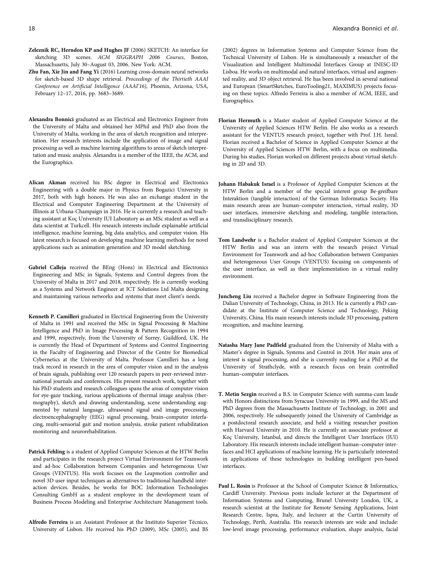- <span id="page-17-0"></span>Zeleznik RC, Herndon KP and Hughes JF (2006) SKETCH: An interface for sketching 3D scenes. ACM SIGGRAPH 2006 Courses, Boston, Massachusetts, July 30–August 03, 2006. New York: ACM.
- Zhu Fan, Xie Jin and Fang Yi (2016) Learning cross-domain neural networks for sketch-based 3D shape retrieval. Proceedings of the Thirtieth AAAI Conference on Artificial Intelligence (AAAI'16), Phoenix, Arizona, USA, February 12–17, 2016, pp. 3683–3689.
- Alexandra Bonnici graduated as an Electrical and Electronics Engineer from the University of Malta and obtained her MPhil and PhD also from the University of Malta, working in the area of sketch recognition and interpretation. Her research interests include the application of image and signal processing as well as machine learning algorithms to areas of sketch interpretation and music analysis. Alexandra is a member of the IEEE, the ACM, and the Eurographics.
- Alican Akman received his BSc degree in Electrical and Electronics Engineering with a double major in Physics from Bogazici University in 2017, both with high honors. He was also an exchange student in the Electrical and Computer Engineering Department at the University of Illinois at Urbana-Champaign in 2016. He is currently a research and teaching assistant at Koç University IUI Laboratory as an MSc student as well as a data scientist at Turkcell. His research interests include explainable artificial intelligence, machine learning, big data analytics, and computer vision. His latest research is focused on developing machine learning methods for novel applications such as animation generation and 3D model sketching.
- Gabriel Calleja received the BEng (Hons) in Electrical and Electronics Engineering and MSc in Signals, Systems and Control degrees from the University of Malta in 2017 and 2018, respectively. He is currently working as a Systems and Network Engineer at ICT Solutions Ltd Malta designing and maintaining various networks and systems that meet client's needs.
- Kenneth P. Camilleri graduated in Electrical Engineering from the University of Malta in 1991 and received the MSc in Signal Processing & Machine Intelligence and PhD in Image Processing & Pattern Recognition in 1994 and 1999, respectively, from the University of Surrey, Guildford, UK. He is currently the Head of Department of Systems and Control Engineering in the Faculty of Engineering and Director of the Centre for Biomedical Cybernetics at the University of Malta. Professor Camilleri has a long track record in research in the area of computer vision and in the analysis of brain signals, publishing over 120 research papers in peer-reviewed international journals and conferences. His present research work, together with his PhD students and research colleagues spans the areas of computer vision for eye-gaze tracking, various applications of thermal image analysis (thermography), sketch and drawing understanding, scene understanding augmented by natural language, ultrasound signal and image processing, electroencephalography (EEG) signal processing, brain–computer interfacing, multi-sensorial gait and motion analysis, stroke patient rehabilitation monitoring and neurorehabilitation.
- Patrick Fehling is a student of Applied Computer Sciences at the HTW Berlin and participates in the research project Virtual Environment for Teamwork and ad-hoc Collaboration between Companies and heterogeneous User Groups (VENTUS). His work focuses on the Leapmotion controller and novel 3D user input techniques as alternatives to traditional handheld interaction devices. Besides, he works for BOC Information Technologies Consulting GmbH as a student employee in the development team of Business Process Modeling and Enterprise Architecture Management tools.
- Alfredo Ferreira is an Assistant Professor at the Instituto Superior Técnico, University of Lisbon. He received his PhD (2009), MSc (2005), and BS

(2002) degrees in Information Systems and Computer Science from the Technical University of Lisbon. He is simultaneously a researcher of the Visualization and Intelligent Multimodal Interfaces Group at INESC-ID Lisboa. He works on multimodal and natural interfaces, virtual and augmented reality, and 3D object retrieval. He has been involved in several national and European (SmartSketches, EuroTooling21, MAXIMUS) projects focusing on these topics. Alfredo Ferreira is also a member of ACM, IEEE, and Eurographics.

- Florian Hermuth is a Master student of Applied Computer Science at the University of Applied Sciences HTW Berlin. He also works as a research assistant for the VENTUS research project, together with Prof. J.H. Isreal. Florian received a Bachelor of Science in Applied Computer Science at the University of Applied Sciences HTW Berlin, with a focus on multimedia. During his studies, Florian worked on different projects about virtual sketching in 2D and 3D.
- Johann Habakuk Israel is a Professor of Applied Computer Sciences at the HTW Berlin and a member of the special interest group Be-greifbare Interaktion (tangible interaction) of the German Informatics Society. His main research areas are human–computer interaction, virtual reality, 3D user interfaces, immersive sketching and modeling, tangible interaction, and transdisciplinary research.
- Tom Landwehr is a Bachelor student of Applied Computer Sciences at the HTW Berlin and was an intern with the research project Virtual Environment for Teamwork and ad-hoc Collaboration between Companies and heterogeneous User Groups (VENTUS) focusing on components of the user interface, as well as their implementation in a virtual reality environment.
- Juncheng Liu received a Bachelor degree in Software Engineering from the Dalian University of Technology, China, in 2013. He is currently a PhD candidate at the Institute of Computer Science and Technology, Peking University, China. His main research interests include 3D processing, pattern recognition, and machine learning.
- Natasha Mary Jane Padfield graduated from the University of Malta with a Master's degree in Signals, Systems and Control in 2018. Her main area of interest is signal processing, and she is currently reading for a PhD at the University of Strathclyde, with a research focus on brain controlled human–computer interfaces.
- T. Metin Sezgin received a B.S. in Computer Science with summa-cum laude with Honors distinctions from Syracuse University in 1999, and the MS and PhD degrees from the Massachusetts Institute of Technology, in 2001 and 2006, respectively. He subsequently joined the University of Cambridge as a postdoctoral research associate, and held a visiting researcher position with Harvard University in 2010. He is currently an associate professor at Koç University, Istanbul, and directs the Intelligent User Interfaces (IUI) Laboratory. His research interests include intelligent human–computer interfaces and HCI applications of machine learning. He is particularly interested in applications of these technologies in building intelligent pen-based interfaces.
- Paul L. Rosin is Professor at the School of Computer Science & Informatics, Cardiff University. Previous posts include lecturer at the Department of Information Systems and Computing, Brunel University London, UK, a research scientist at the Institute for Remote Sensing Applications, Joint Research Centre, Ispra, Italy, and lecturer at the Curtin University of Technology, Perth, Australia. His research interests are wide and include: low-level image processing, performance evaluation, shape analysis, facial